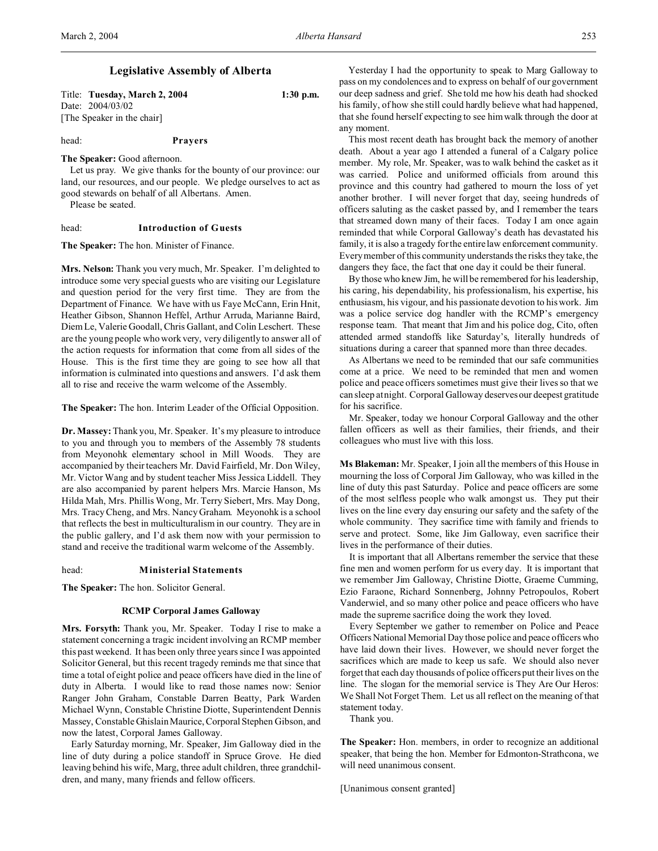# **Legislative Assembly of Alberta**

Title: **Tuesday, March 2, 2004 1:30 p.m.** Date: 2004/03/02 [The Speaker in the chair]

# head: **Prayers**

**The Speaker:** Good afternoon.

Let us pray. We give thanks for the bounty of our province: our land, our resources, and our people. We pledge ourselves to act as good stewards on behalf of all Albertans. Amen.

Please be seated.

## head: **Introduction of Guests**

**The Speaker:** The hon. Minister of Finance.

**Mrs. Nelson:** Thank you very much, Mr. Speaker. I'm delighted to introduce some very special guests who are visiting our Legislature and question period for the very first time. They are from the Department of Finance. We have with us Faye McCann, Erin Hnit, Heather Gibson, Shannon Heffel, Arthur Arruda, Marianne Baird, Diem Le, Valerie Goodall, Chris Gallant, and Colin Leschert. These are the young people who work very, very diligently to answer all of the action requests for information that come from all sides of the House. This is the first time they are going to see how all that information is culminated into questions and answers. I'd ask them all to rise and receive the warm welcome of the Assembly.

**The Speaker:** The hon. Interim Leader of the Official Opposition.

**Dr. Massey:** Thank you, Mr. Speaker. It's my pleasure to introduce to you and through you to members of the Assembly 78 students from Meyonohk elementary school in Mill Woods. They are accompanied by their teachers Mr. David Fairfield, Mr. Don Wiley, Mr. Victor Wang and by student teacher Miss Jessica Liddell. They are also accompanied by parent helpers Mrs. Marcie Hanson, Ms Hilda Mah, Mrs. Phillis Wong, Mr. Terry Siebert, Mrs. May Dong, Mrs. Tracy Cheng, and Mrs. Nancy Graham. Meyonohk is a school that reflects the best in multiculturalism in our country. They are in the public gallery, and I'd ask them now with your permission to stand and receive the traditional warm welcome of the Assembly.

#### head: **Ministerial Statements**

**The Speaker:** The hon. Solicitor General.

#### **RCMP Corporal James Galloway**

**Mrs. Forsyth:** Thank you, Mr. Speaker. Today I rise to make a statement concerning a tragic incident involving an RCMP member this past weekend. It has been only three years since I was appointed Solicitor General, but this recent tragedy reminds me that since that time a total of eight police and peace officers have died in the line of duty in Alberta. I would like to read those names now: Senior Ranger John Graham, Constable Darren Beatty, Park Warden Michael Wynn, Constable Christine Diotte, Superintendent Dennis Massey, Constable Ghislain Maurice, Corporal Stephen Gibson, and now the latest, Corporal James Galloway.

Early Saturday morning, Mr. Speaker, Jim Galloway died in the line of duty during a police standoff in Spruce Grove. He died leaving behind his wife, Marg, three adult children, three grandchildren, and many, many friends and fellow officers.

Yesterday I had the opportunity to speak to Marg Galloway to pass on my condolences and to express on behalf of our government our deep sadness and grief. She told me how his death had shocked his family, of how she still could hardly believe what had happened, that she found herself expecting to see him walk through the door at any moment.

This most recent death has brought back the memory of another death. About a year ago I attended a funeral of a Calgary police member. My role, Mr. Speaker, was to walk behind the casket as it was carried. Police and uniformed officials from around this province and this country had gathered to mourn the loss of yet another brother. I will never forget that day, seeing hundreds of officers saluting as the casket passed by, and I remember the tears that streamed down many of their faces. Today I am once again reminded that while Corporal Galloway's death has devastated his family, it is also a tragedy for the entire law enforcement community. Every member of this community understands the risks they take, the dangers they face, the fact that one day it could be their funeral.

By those who knew Jim, he will be remembered for his leadership, his caring, his dependability, his professionalism, his expertise, his enthusiasm, his vigour, and his passionate devotion to his work. Jim was a police service dog handler with the RCMP's emergency response team. That meant that Jim and his police dog, Cito, often attended armed standoffs like Saturday's, literally hundreds of situations during a career that spanned more than three decades.

As Albertans we need to be reminded that our safe communities come at a price. We need to be reminded that men and women police and peace officers sometimes must give their lives so that we can sleep at night. Corporal Galloway deserves our deepest gratitude for his sacrifice.

Mr. Speaker, today we honour Corporal Galloway and the other fallen officers as well as their families, their friends, and their colleagues who must live with this loss.

**Ms Blakeman:** Mr. Speaker, I join all the members of this House in mourning the loss of Corporal Jim Galloway, who was killed in the line of duty this past Saturday. Police and peace officers are some of the most selfless people who walk amongst us. They put their lives on the line every day ensuring our safety and the safety of the whole community. They sacrifice time with family and friends to serve and protect. Some, like Jim Galloway, even sacrifice their lives in the performance of their duties.

It is important that all Albertans remember the service that these fine men and women perform for us every day. It is important that we remember Jim Galloway, Christine Diotte, Graeme Cumming, Ezio Faraone, Richard Sonnenberg, Johnny Petropoulos, Robert Vanderwiel, and so many other police and peace officers who have made the supreme sacrifice doing the work they loved.

Every September we gather to remember on Police and Peace Officers National Memorial Day those police and peace officers who have laid down their lives. However, we should never forget the sacrifices which are made to keep us safe. We should also never forget that each day thousands of police officers put their lives on the line. The slogan for the memorial service is They Are Our Heros: We Shall Not Forget Them. Let us all reflect on the meaning of that statement today.

Thank you.

**The Speaker:** Hon. members, in order to recognize an additional speaker, that being the hon. Member for Edmonton-Strathcona, we will need unanimous consent.

[Unanimous consent granted]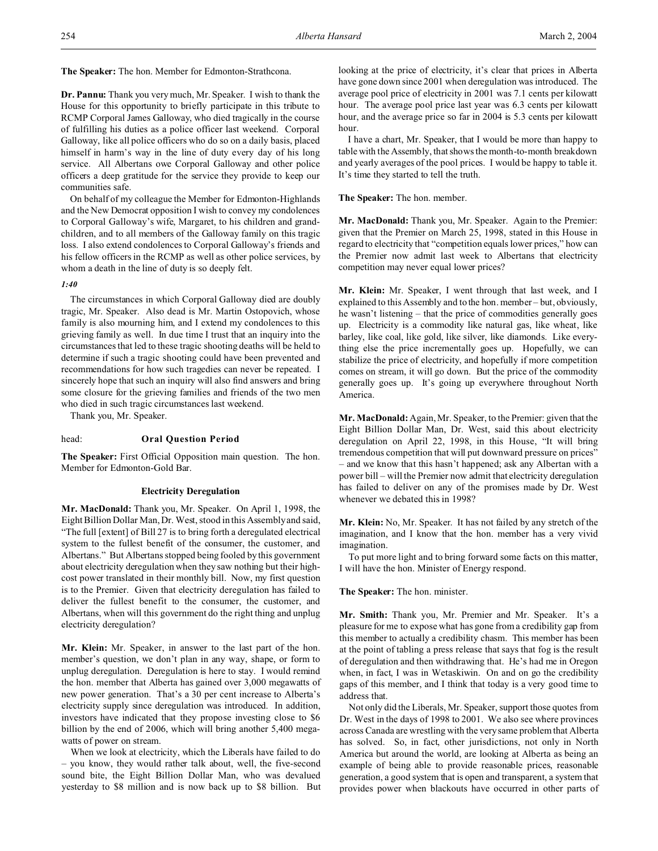**The Speaker:** The hon. Member for Edmonton-Strathcona.

**Dr. Pannu:** Thank you very much, Mr. Speaker. I wish to thank the House for this opportunity to briefly participate in this tribute to RCMP Corporal James Galloway, who died tragically in the course of fulfilling his duties as a police officer last weekend. Corporal Galloway, like all police officers who do so on a daily basis, placed himself in harm's way in the line of duty every day of his long service. All Albertans owe Corporal Galloway and other police officers a deep gratitude for the service they provide to keep our communities safe.

On behalf of my colleague the Member for Edmonton-Highlands and the New Democrat opposition I wish to convey my condolences to Corporal Galloway's wife, Margaret, to his children and grandchildren, and to all members of the Galloway family on this tragic loss. I also extend condolences to Corporal Galloway's friends and his fellow officers in the RCMP as well as other police services, by whom a death in the line of duty is so deeply felt.

# *1:40*

The circumstances in which Corporal Galloway died are doubly tragic, Mr. Speaker. Also dead is Mr. Martin Ostopovich, whose family is also mourning him, and I extend my condolences to this grieving family as well. In due time I trust that an inquiry into the circumstances that led to these tragic shooting deaths will be held to determine if such a tragic shooting could have been prevented and recommendations for how such tragedies can never be repeated. I sincerely hope that such an inquiry will also find answers and bring some closure for the grieving families and friends of the two men who died in such tragic circumstances last weekend.

Thank you, Mr. Speaker.

## head: **Oral Question Period**

**The Speaker:** First Official Opposition main question. The hon. Member for Edmonton-Gold Bar.

## **Electricity Deregulation**

**Mr. MacDonald:** Thank you, Mr. Speaker. On April 1, 1998, the Eight Billion Dollar Man, Dr. West, stood in this Assembly and said, "The full [extent] of Bill 27 is to bring forth a deregulated electrical system to the fullest benefit of the consumer, the customer, and Albertans." But Albertans stopped being fooled by this government about electricity deregulation when they saw nothing but their highcost power translated in their monthly bill. Now, my first question is to the Premier. Given that electricity deregulation has failed to deliver the fullest benefit to the consumer, the customer, and Albertans, when will this government do the right thing and unplug electricity deregulation?

**Mr. Klein:** Mr. Speaker, in answer to the last part of the hon. member's question, we don't plan in any way, shape, or form to unplug deregulation. Deregulation is here to stay. I would remind the hon. member that Alberta has gained over 3,000 megawatts of new power generation. That's a 30 per cent increase to Alberta's electricity supply since deregulation was introduced. In addition, investors have indicated that they propose investing close to \$6 billion by the end of 2006, which will bring another 5,400 megawatts of power on stream.

When we look at electricity, which the Liberals have failed to do – you know, they would rather talk about, well, the five-second sound bite, the Eight Billion Dollar Man, who was devalued yesterday to \$8 million and is now back up to \$8 billion. But looking at the price of electricity, it's clear that prices in Alberta have gone down since 2001 when deregulation was introduced. The average pool price of electricity in 2001 was 7.1 cents per kilowatt hour. The average pool price last year was 6.3 cents per kilowatt hour, and the average price so far in 2004 is 5.3 cents per kilowatt hour.

I have a chart, Mr. Speaker, that I would be more than happy to table with the Assembly, that shows the month-to-month breakdown and yearly averages of the pool prices. I would be happy to table it. It's time they started to tell the truth.

**The Speaker:** The hon. member.

**Mr. MacDonald:** Thank you, Mr. Speaker. Again to the Premier: given that the Premier on March 25, 1998, stated in this House in regard to electricity that "competition equals lower prices," how can the Premier now admit last week to Albertans that electricity competition may never equal lower prices?

**Mr. Klein:** Mr. Speaker, I went through that last week, and I explained to this Assembly and to the hon. member – but, obviously, he wasn't listening – that the price of commodities generally goes up. Electricity is a commodity like natural gas, like wheat, like barley, like coal, like gold, like silver, like diamonds. Like everything else the price incrementally goes up. Hopefully, we can stabilize the price of electricity, and hopefully if more competition comes on stream, it will go down. But the price of the commodity generally goes up. It's going up everywhere throughout North America.

**Mr. MacDonald:** Again, Mr. Speaker, to the Premier: given that the Eight Billion Dollar Man, Dr. West, said this about electricity deregulation on April 22, 1998, in this House, "It will bring tremendous competition that will put downward pressure on prices" – and we know that this hasn't happened; ask any Albertan with a power bill – will the Premier now admit that electricity deregulation has failed to deliver on any of the promises made by Dr. West whenever we debated this in 1998?

**Mr. Klein:** No, Mr. Speaker. It has not failed by any stretch of the imagination, and I know that the hon. member has a very vivid imagination.

To put more light and to bring forward some facts on this matter, I will have the hon. Minister of Energy respond.

## **The Speaker:** The hon. minister.

**Mr. Smith:** Thank you, Mr. Premier and Mr. Speaker. It's a pleasure for me to expose what has gone from a credibility gap from this member to actually a credibility chasm. This member has been at the point of tabling a press release that says that fog is the result of deregulation and then withdrawing that. He's had me in Oregon when, in fact, I was in Wetaskiwin. On and on go the credibility gaps of this member, and I think that today is a very good time to address that.

Not only did the Liberals, Mr. Speaker, support those quotes from Dr. West in the days of 1998 to 2001. We also see where provinces across Canada are wrestling with the very same problem that Alberta has solved. So, in fact, other jurisdictions, not only in North America but around the world, are looking at Alberta as being an example of being able to provide reasonable prices, reasonable generation, a good system that is open and transparent, a system that provides power when blackouts have occurred in other parts of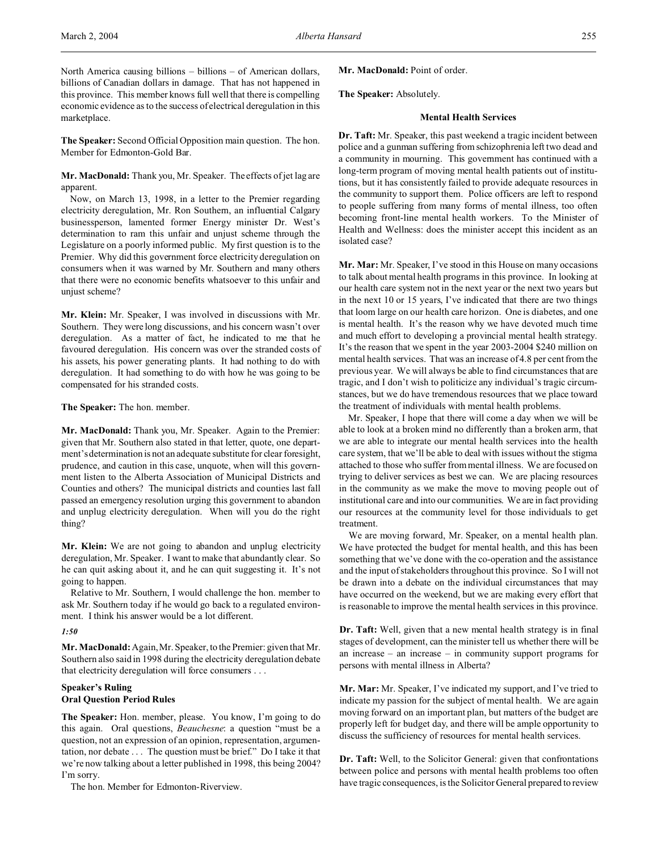North America causing billions – billions – of American dollars, billions of Canadian dollars in damage. That has not happened in this province. This member knows full well that there is compelling economic evidence as to the success of electrical deregulation in this marketplace.

**The Speaker:** Second Official Opposition main question. The hon. Member for Edmonton-Gold Bar.

**Mr. MacDonald:** Thank you, Mr. Speaker. The effects of jet lag are apparent.

Now, on March 13, 1998, in a letter to the Premier regarding electricity deregulation, Mr. Ron Southern, an influential Calgary businessperson, lamented former Energy minister Dr. West's determination to ram this unfair and unjust scheme through the Legislature on a poorly informed public. My first question is to the Premier. Why did this government force electricity deregulation on consumers when it was warned by Mr. Southern and many others that there were no economic benefits whatsoever to this unfair and unjust scheme?

**Mr. Klein:** Mr. Speaker, I was involved in discussions with Mr. Southern. They were long discussions, and his concern wasn't over deregulation. As a matter of fact, he indicated to me that he favoured deregulation. His concern was over the stranded costs of his assets, his power generating plants. It had nothing to do with deregulation. It had something to do with how he was going to be compensated for his stranded costs.

## **The Speaker:** The hon. member.

**Mr. MacDonald:** Thank you, Mr. Speaker. Again to the Premier: given that Mr. Southern also stated in that letter, quote, one department's determination is not an adequate substitute for clear foresight, prudence, and caution in this case, unquote, when will this government listen to the Alberta Association of Municipal Districts and Counties and others? The municipal districts and counties last fall passed an emergency resolution urging this government to abandon and unplug electricity deregulation. When will you do the right thing?

**Mr. Klein:** We are not going to abandon and unplug electricity deregulation, Mr. Speaker. I want to make that abundantly clear. So he can quit asking about it, and he can quit suggesting it. It's not going to happen.

Relative to Mr. Southern, I would challenge the hon. member to ask Mr. Southern today if he would go back to a regulated environment. I think his answer would be a lot different.

## *1:50*

**Mr. MacDonald:** Again, Mr. Speaker, to the Premier: given that Mr. Southern also said in 1998 during the electricity deregulation debate that electricity deregulation will force consumers . . .

# **Speaker's Ruling Oral Question Period Rules**

**The Speaker:** Hon. member, please. You know, I'm going to do this again. Oral questions, *Beauchesne*: a question "must be a question, not an expression of an opinion, representation, argumentation, nor debate . . . The question must be brief." Do I take it that we're now talking about a letter published in 1998, this being 2004? I'm sorry.

The hon. Member for Edmonton-Riverview.

Mr. MacDonald: Point of order.

**The Speaker:** Absolutely.

## **Mental Health Services**

**Dr. Taft:** Mr. Speaker, this past weekend a tragic incident between police and a gunman suffering from schizophrenia left two dead and a community in mourning. This government has continued with a long-term program of moving mental health patients out of institutions, but it has consistently failed to provide adequate resources in the community to support them. Police officers are left to respond to people suffering from many forms of mental illness, too often becoming front-line mental health workers. To the Minister of Health and Wellness: does the minister accept this incident as an isolated case?

**Mr. Mar:** Mr. Speaker, I've stood in this House on many occasions to talk about mental health programs in this province. In looking at our health care system not in the next year or the next two years but in the next 10 or 15 years, I've indicated that there are two things that loom large on our health care horizon. One is diabetes, and one is mental health. It's the reason why we have devoted much time and much effort to developing a provincial mental health strategy. It's the reason that we spent in the year 2003-2004 \$240 million on mental health services. That was an increase of 4.8 per cent from the previous year. We will always be able to find circumstances that are tragic, and I don't wish to politicize any individual's tragic circumstances, but we do have tremendous resources that we place toward the treatment of individuals with mental health problems.

Mr. Speaker, I hope that there will come a day when we will be able to look at a broken mind no differently than a broken arm, that we are able to integrate our mental health services into the health care system, that we'll be able to deal with issues without the stigma attached to those who suffer from mental illness. We are focused on trying to deliver services as best we can. We are placing resources in the community as we make the move to moving people out of institutional care and into our communities. We are in fact providing our resources at the community level for those individuals to get treatment.

We are moving forward, Mr. Speaker, on a mental health plan. We have protected the budget for mental health, and this has been something that we've done with the co-operation and the assistance and the input of stakeholders throughout this province. So I will not be drawn into a debate on the individual circumstances that may have occurred on the weekend, but we are making every effort that is reasonable to improve the mental health services in this province.

**Dr. Taft:** Well, given that a new mental health strategy is in final stages of development, can the minister tell us whether there will be an increase – an increase – in community support programs for persons with mental illness in Alberta?

**Mr. Mar:** Mr. Speaker, I've indicated my support, and I've tried to indicate my passion for the subject of mental health. We are again moving forward on an important plan, but matters of the budget are properly left for budget day, and there will be ample opportunity to discuss the sufficiency of resources for mental health services.

**Dr. Taft:** Well, to the Solicitor General: given that confrontations between police and persons with mental health problems too often have tragic consequences, is the Solicitor General prepared to review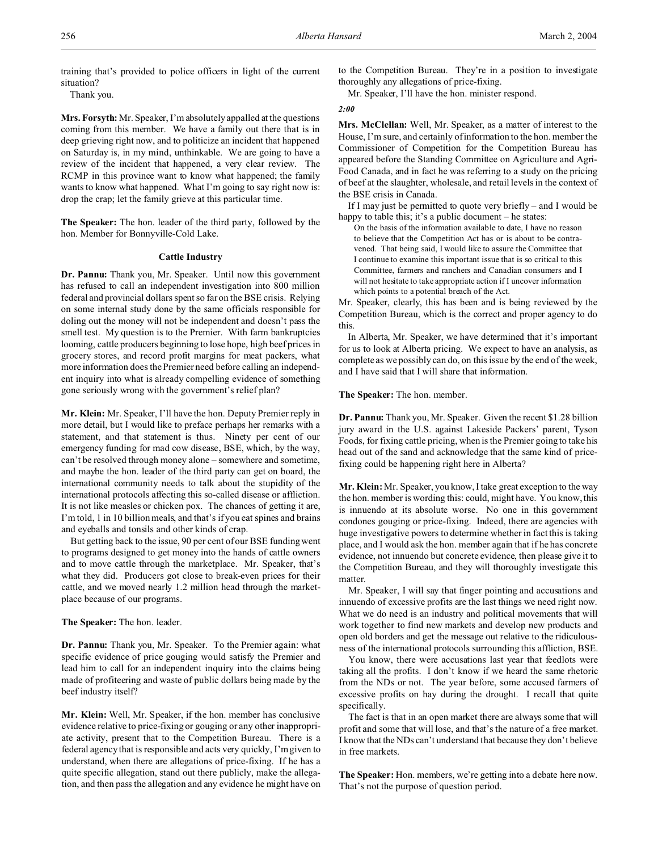training that's provided to police officers in light of the current situation?

Thank you.

**Mrs. Forsyth:** Mr. Speaker, I'm absolutely appalled at the questions coming from this member. We have a family out there that is in deep grieving right now, and to politicize an incident that happened on Saturday is, in my mind, unthinkable. We are going to have a review of the incident that happened, a very clear review. The RCMP in this province want to know what happened; the family wants to know what happened. What I'm going to say right now is: drop the crap; let the family grieve at this particular time.

**The Speaker:** The hon. leader of the third party, followed by the hon. Member for Bonnyville-Cold Lake.

## **Cattle Industry**

**Dr. Pannu:** Thank you, Mr. Speaker. Until now this government has refused to call an independent investigation into 800 million federal and provincial dollars spent so far on the BSE crisis. Relying on some internal study done by the same officials responsible for doling out the money will not be independent and doesn't pass the smell test. My question is to the Premier. With farm bankruptcies looming, cattle producers beginning to lose hope, high beef prices in grocery stores, and record profit margins for meat packers, what more information does the Premier need before calling an independent inquiry into what is already compelling evidence of something gone seriously wrong with the government's relief plan?

**Mr. Klein:** Mr. Speaker, I'll have the hon. Deputy Premier reply in more detail, but I would like to preface perhaps her remarks with a statement, and that statement is thus. Ninety per cent of our emergency funding for mad cow disease, BSE, which, by the way, can't be resolved through money alone – somewhere and sometime, and maybe the hon. leader of the third party can get on board, the international community needs to talk about the stupidity of the international protocols affecting this so-called disease or affliction. It is not like measles or chicken pox. The chances of getting it are, I'm told, 1 in 10 billion meals, and that's if you eat spines and brains and eyeballs and tonsils and other kinds of crap.

But getting back to the issue, 90 per cent of our BSE funding went to programs designed to get money into the hands of cattle owners and to move cattle through the marketplace. Mr. Speaker, that's what they did. Producers got close to break-even prices for their cattle, and we moved nearly 1.2 million head through the marketplace because of our programs.

**The Speaker:** The hon. leader.

**Dr. Pannu:** Thank you, Mr. Speaker. To the Premier again: what specific evidence of price gouging would satisfy the Premier and lead him to call for an independent inquiry into the claims being made of profiteering and waste of public dollars being made by the beef industry itself?

**Mr. Klein:** Well, Mr. Speaker, if the hon. member has conclusive evidence relative to price-fixing or gouging or any other inappropriate activity, present that to the Competition Bureau. There is a federal agency that is responsible and acts very quickly, I'm given to understand, when there are allegations of price-fixing. If he has a quite specific allegation, stand out there publicly, make the allegation, and then pass the allegation and any evidence he might have on

to the Competition Bureau. They're in a position to investigate thoroughly any allegations of price-fixing.

Mr. Speaker, I'll have the hon. minister respond.

#### *2:00*

**Mrs. McClellan:** Well, Mr. Speaker, as a matter of interest to the House, I'm sure, and certainly of information to the hon. member the Commissioner of Competition for the Competition Bureau has appeared before the Standing Committee on Agriculture and Agri-Food Canada, and in fact he was referring to a study on the pricing of beef at the slaughter, wholesale, and retail levels in the context of the BSE crisis in Canada.

If I may just be permitted to quote very briefly – and I would be happy to table this; it's a public document – he states:

On the basis of the information available to date, I have no reason to believe that the Competition Act has or is about to be contravened. That being said, I would like to assure the Committee that I continue to examine this important issue that is so critical to this Committee, farmers and ranchers and Canadian consumers and I will not hesitate to take appropriate action if I uncover information which points to a potential breach of the Act.

Mr. Speaker, clearly, this has been and is being reviewed by the Competition Bureau, which is the correct and proper agency to do this.

In Alberta, Mr. Speaker, we have determined that it's important for us to look at Alberta pricing. We expect to have an analysis, as complete as we possibly can do, on this issue by the end of the week, and I have said that I will share that information.

**The Speaker:** The hon. member.

**Dr. Pannu:** Thank you, Mr. Speaker. Given the recent \$1.28 billion jury award in the U.S. against Lakeside Packers' parent, Tyson Foods, for fixing cattle pricing, when is the Premier going to take his head out of the sand and acknowledge that the same kind of pricefixing could be happening right here in Alberta?

**Mr. Klein:** Mr. Speaker, you know, I take great exception to the way the hon. member is wording this: could, might have. You know, this is innuendo at its absolute worse. No one in this government condones gouging or price-fixing. Indeed, there are agencies with huge investigative powers to determine whether in fact this is taking place, and I would ask the hon. member again that if he has concrete evidence, not innuendo but concrete evidence, then please give it to the Competition Bureau, and they will thoroughly investigate this matter.

Mr. Speaker, I will say that finger pointing and accusations and innuendo of excessive profits are the last things we need right now. What we do need is an industry and political movements that will work together to find new markets and develop new products and open old borders and get the message out relative to the ridiculousness of the international protocols surrounding this affliction, BSE.

You know, there were accusations last year that feedlots were taking all the profits. I don't know if we heard the same rhetoric from the NDs or not. The year before, some accused farmers of excessive profits on hay during the drought. I recall that quite specifically.

The fact is that in an open market there are always some that will profit and some that will lose, and that's the nature of a free market. I know that the NDs can't understand that because they don't believe in free markets.

**The Speaker:** Hon. members, we're getting into a debate here now. That's not the purpose of question period.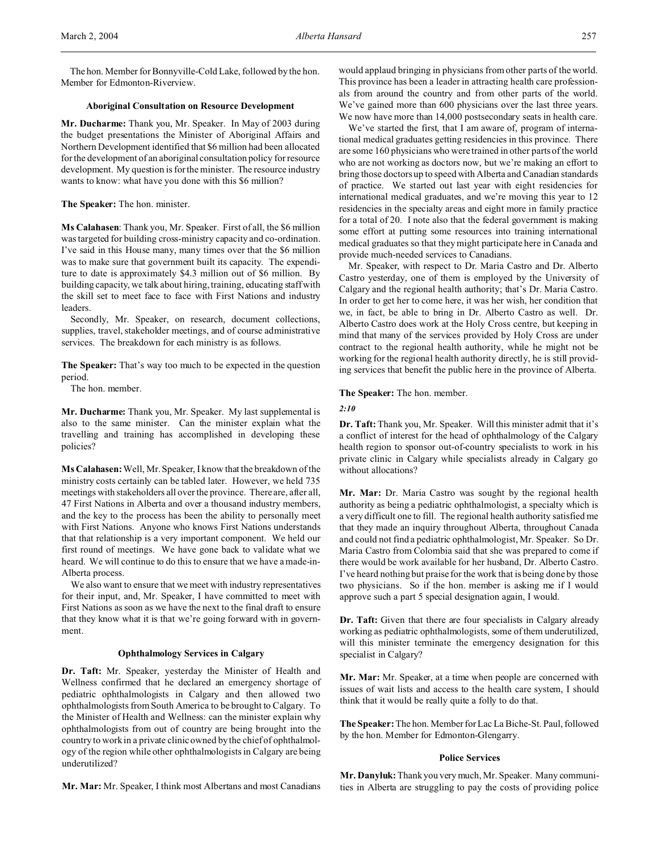The hon. Member for Bonnyville-Cold Lake, followed by the hon. Member for Edmonton-Riverview.

# **Aboriginal Consultation on Resource Development**

**Mr. Ducharme:** Thank you, Mr. Speaker. In May of 2003 during the budget presentations the Minister of Aboriginal Affairs and Northern Development identified that \$6 million had been allocated for the development of an aboriginal consultation policy for resource development. My question is for the minister. The resource industry wants to know: what have you done with this \$6 million?

## **The Speaker:** The hon. minister.

**Ms Calahasen**: Thank you, Mr. Speaker. First of all, the \$6 million was targeted for building cross-ministry capacity and co-ordination. I've said in this House many, many times over that the \$6 million was to make sure that government built its capacity. The expenditure to date is approximately \$4.3 million out of \$6 million. By building capacity, we talk about hiring, training, educating staff with the skill set to meet face to face with First Nations and industry leaders.

Secondly, Mr. Speaker, on research, document collections, supplies, travel, stakeholder meetings, and of course administrative services. The breakdown for each ministry is as follows.

**The Speaker:** That's way too much to be expected in the question period.

The hon. member.

**Mr. Ducharme:** Thank you, Mr. Speaker. My last supplemental is also to the same minister. Can the minister explain what the travelling and training has accomplished in developing these policies?

**Ms Calahasen:** Well, Mr. Speaker, I know that the breakdown of the ministry costs certainly can be tabled later. However, we held 735 meetings with stakeholders all over the province. There are, after all, 47 First Nations in Alberta and over a thousand industry members, and the key to the process has been the ability to personally meet with First Nations. Anyone who knows First Nations understands that that relationship is a very important component. We held our first round of meetings. We have gone back to validate what we heard. We will continue to do this to ensure that we have a made-in-Alberta process.

We also want to ensure that we meet with industry representatives for their input, and, Mr. Speaker, I have committed to meet with First Nations as soon as we have the next to the final draft to ensure that they know what it is that we're going forward with in government.

## **Ophthalmology Services in Calgary**

**Dr. Taft:** Mr. Speaker, yesterday the Minister of Health and Wellness confirmed that he declared an emergency shortage of pediatric ophthalmologists in Calgary and then allowed two ophthalmologists from South America to be brought to Calgary. To the Minister of Health and Wellness: can the minister explain why ophthalmologists from out of country are being brought into the country to work in a private clinic owned by the chief of ophthalmology of the region while other ophthalmologists in Calgary are being underutilized?

**Mr. Mar:** Mr. Speaker, I think most Albertans and most Canadians

would applaud bringing in physicians from other parts of the world. This province has been a leader in attracting health care professionals from around the country and from other parts of the world. We've gained more than 600 physicians over the last three years. We now have more than 14,000 postsecondary seats in health care.

We've started the first, that I am aware of, program of international medical graduates getting residencies in this province. There are some 160 physicians who were trained in other parts of the world who are not working as doctors now, but we're making an effort to bring those doctors up to speed with Alberta and Canadian standards of practice. We started out last year with eight residencies for international medical graduates, and we're moving this year to 12 residencies in the specialty areas and eight more in family practice for a total of 20. I note also that the federal government is making some effort at putting some resources into training international medical graduates so that they might participate here in Canada and provide much-needed services to Canadians.

Mr. Speaker, with respect to Dr. Maria Castro and Dr. Alberto Castro yesterday, one of them is employed by the University of Calgary and the regional health authority; that's Dr. Maria Castro. In order to get her to come here, it was her wish, her condition that we, in fact, be able to bring in Dr. Alberto Castro as well. Dr. Alberto Castro does work at the Holy Cross centre, but keeping in mind that many of the services provided by Holy Cross are under contract to the regional health authority, while he might not be working for the regional health authority directly, he is still providing services that benefit the public here in the province of Alberta.

#### **The Speaker:** The hon. member.

*2:10*

**Dr. Taft:** Thank you, Mr. Speaker. Will this minister admit that it's a conflict of interest for the head of ophthalmology of the Calgary health region to sponsor out-of-country specialists to work in his private clinic in Calgary while specialists already in Calgary go without allocations?

**Mr. Mar:** Dr. Maria Castro was sought by the regional health authority as being a pediatric ophthalmologist, a specialty which is a very difficult one to fill. The regional health authority satisfied me that they made an inquiry throughout Alberta, throughout Canada and could not find a pediatric ophthalmologist, Mr. Speaker. So Dr. Maria Castro from Colombia said that she was prepared to come if there would be work available for her husband, Dr. Alberto Castro. I've heard nothing but praise for the work that is being done by those two physicians. So if the hon. member is asking me if I would approve such a part 5 special designation again, I would.

**Dr. Taft:** Given that there are four specialists in Calgary already working as pediatric ophthalmologists, some of them underutilized, will this minister terminate the emergency designation for this specialist in Calgary?

**Mr. Mar:** Mr. Speaker, at a time when people are concerned with issues of wait lists and access to the health care system, I should think that it would be really quite a folly to do that.

**The Speaker:** The hon. Member for Lac La Biche-St. Paul, followed by the hon. Member for Edmonton-Glengarry.

## **Police Services**

**Mr. Danyluk:** Thank you very much, Mr. Speaker. Many communities in Alberta are struggling to pay the costs of providing police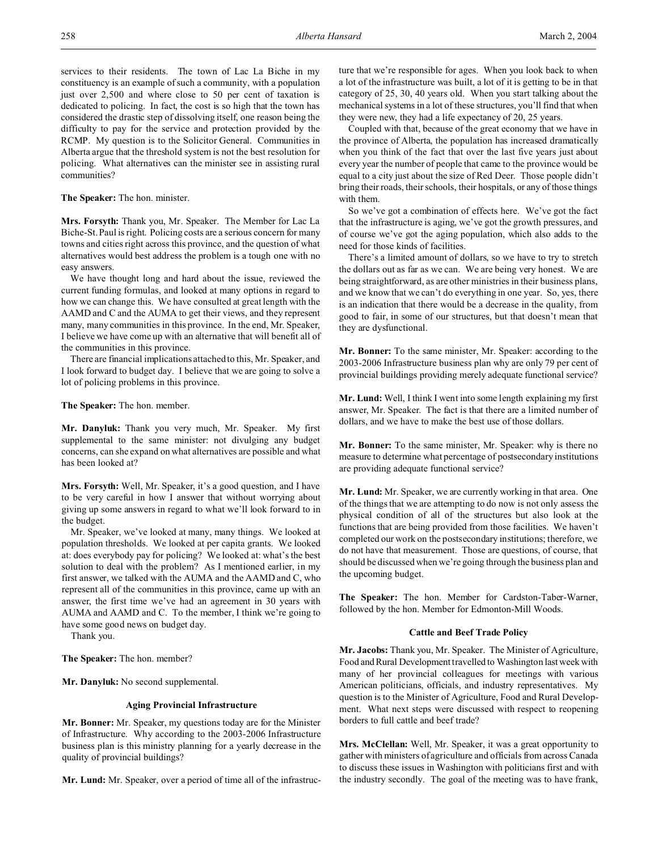services to their residents. The town of Lac La Biche in my constituency is an example of such a community, with a population just over 2,500 and where close to 50 per cent of taxation is dedicated to policing. In fact, the cost is so high that the town has considered the drastic step of dissolving itself, one reason being the difficulty to pay for the service and protection provided by the RCMP. My question is to the Solicitor General. Communities in Alberta argue that the threshold system is not the best resolution for policing. What alternatives can the minister see in assisting rural communities?

**The Speaker:** The hon. minister.

**Mrs. Forsyth:** Thank you, Mr. Speaker. The Member for Lac La Biche-St. Paul is right. Policing costs are a serious concern for many towns and cities right across this province, and the question of what alternatives would best address the problem is a tough one with no easy answers.

We have thought long and hard about the issue, reviewed the current funding formulas, and looked at many options in regard to how we can change this. We have consulted at great length with the AAMD and C and the AUMA to get their views, and they represent many, many communities in this province. In the end, Mr. Speaker, I believe we have come up with an alternative that will benefit all of the communities in this province.

There are financial implications attached to this, Mr. Speaker, and I look forward to budget day. I believe that we are going to solve a lot of policing problems in this province.

**The Speaker:** The hon. member.

**Mr. Danyluk:** Thank you very much, Mr. Speaker. My first supplemental to the same minister: not divulging any budget concerns, can she expand on what alternatives are possible and what has been looked at?

**Mrs. Forsyth:** Well, Mr. Speaker, it's a good question, and I have to be very careful in how I answer that without worrying about giving up some answers in regard to what we'll look forward to in the budget.

Mr. Speaker, we've looked at many, many things. We looked at population thresholds. We looked at per capita grants. We looked at: does everybody pay for policing? We looked at: what's the best solution to deal with the problem? As I mentioned earlier, in my first answer, we talked with the AUMA and the AAMD and C, who represent all of the communities in this province, came up with an answer, the first time we've had an agreement in 30 years with AUMA and AAMD and C. To the member, I think we're going to have some good news on budget day.

Thank you.

**The Speaker:** The hon. member?

**Mr. Danyluk:** No second supplemental.

## **Aging Provincial Infrastructure**

**Mr. Bonner:** Mr. Speaker, my questions today are for the Minister of Infrastructure. Why according to the 2003-2006 Infrastructure business plan is this ministry planning for a yearly decrease in the quality of provincial buildings?

**Mr. Lund:** Mr. Speaker, over a period of time all of the infrastruc-

ture that we're responsible for ages. When you look back to when a lot of the infrastructure was built, a lot of it is getting to be in that category of 25, 30, 40 years old. When you start talking about the mechanical systems in a lot of these structures, you'll find that when they were new, they had a life expectancy of 20, 25 years.

Coupled with that, because of the great economy that we have in the province of Alberta, the population has increased dramatically when you think of the fact that over the last five years just about every year the number of people that came to the province would be equal to a city just about the size of Red Deer. Those people didn't bring their roads, their schools, their hospitals, or any of those things with them.

So we've got a combination of effects here. We've got the fact that the infrastructure is aging, we've got the growth pressures, and of course we've got the aging population, which also adds to the need for those kinds of facilities.

There's a limited amount of dollars, so we have to try to stretch the dollars out as far as we can. We are being very honest. We are being straightforward, as are other ministries in their business plans, and we know that we can't do everything in one year. So, yes, there is an indication that there would be a decrease in the quality, from good to fair, in some of our structures, but that doesn't mean that they are dysfunctional.

**Mr. Bonner:** To the same minister, Mr. Speaker: according to the 2003-2006 Infrastructure business plan why are only 79 per cent of provincial buildings providing merely adequate functional service?

**Mr. Lund:** Well, I think I went into some length explaining my first answer, Mr. Speaker. The fact is that there are a limited number of dollars, and we have to make the best use of those dollars.

**Mr. Bonner:** To the same minister, Mr. Speaker: why is there no measure to determine what percentage of postsecondary institutions are providing adequate functional service?

**Mr. Lund:** Mr. Speaker, we are currently working in that area. One of the things that we are attempting to do now is not only assess the physical condition of all of the structures but also look at the functions that are being provided from those facilities. We haven't completed our work on the postsecondary institutions; therefore, we do not have that measurement. Those are questions, of course, that should be discussed when we're going through the business plan and the upcoming budget.

**The Speaker:** The hon. Member for Cardston-Taber-Warner, followed by the hon. Member for Edmonton-Mill Woods.

## **Cattle and Beef Trade Policy**

**Mr. Jacobs:** Thank you, Mr. Speaker. The Minister of Agriculture, Food and Rural Development travelled to Washington last week with many of her provincial colleagues for meetings with various American politicians, officials, and industry representatives. My question is to the Minister of Agriculture, Food and Rural Development. What next steps were discussed with respect to reopening borders to full cattle and beef trade?

**Mrs. McClellan:** Well, Mr. Speaker, it was a great opportunity to gather with ministers of agriculture and officials from across Canada to discuss these issues in Washington with politicians first and with the industry secondly. The goal of the meeting was to have frank,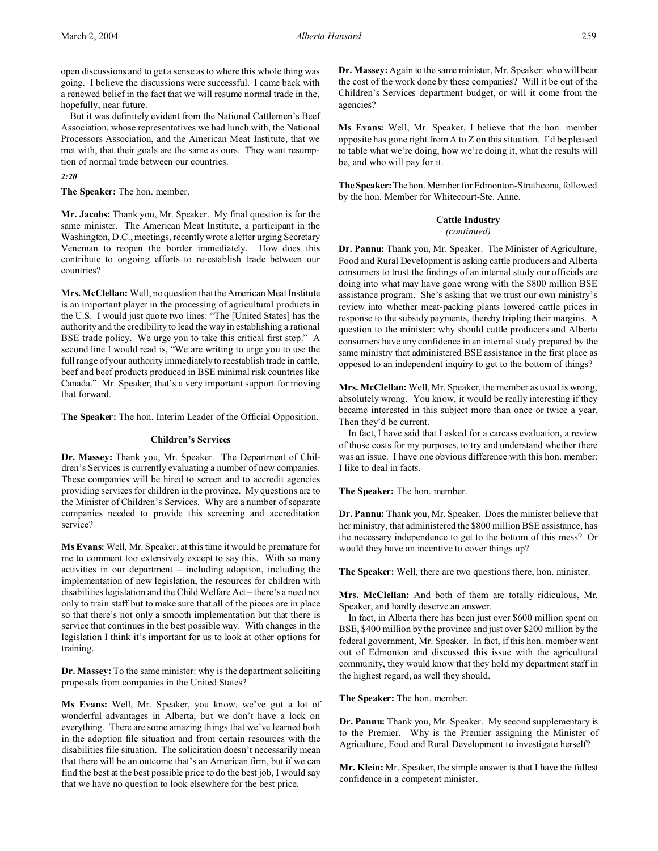open discussions and to get a sense as to where this whole thing was going. I believe the discussions were successful. I came back with a renewed belief in the fact that we will resume normal trade in the, hopefully, near future.

But it was definitely evident from the National Cattlemen's Beef Association, whose representatives we had lunch with, the National Processors Association, and the American Meat Institute, that we met with, that their goals are the same as ours. They want resumption of normal trade between our countries.

*2:20*

**The Speaker:** The hon. member.

**Mr. Jacobs:** Thank you, Mr. Speaker. My final question is for the same minister. The American Meat Institute, a participant in the Washington, D.C., meetings, recently wrote a letter urging Secretary Veneman to reopen the border immediately. How does this contribute to ongoing efforts to re-establish trade between our countries?

**Mrs. McClellan:** Well, no question that the American Meat Institute is an important player in the processing of agricultural products in the U.S. I would just quote two lines: "The [United States] has the authority and the credibility to lead the way in establishing a rational BSE trade policy. We urge you to take this critical first step." A second line I would read is, "We are writing to urge you to use the full range of your authority immediately to reestablish trade in cattle, beef and beef products produced in BSE minimal risk countries like Canada." Mr. Speaker, that's a very important support for moving that forward.

**The Speaker:** The hon. Interim Leader of the Official Opposition.

## **Children's Services**

**Dr. Massey:** Thank you, Mr. Speaker. The Department of Children's Services is currently evaluating a number of new companies. These companies will be hired to screen and to accredit agencies providing services for children in the province. My questions are to the Minister of Children's Services. Why are a number of separate companies needed to provide this screening and accreditation service?

**Ms Evans:** Well, Mr. Speaker, at this time it would be premature for me to comment too extensively except to say this. With so many activities in our department – including adoption, including the implementation of new legislation, the resources for children with disabilities legislation and the Child Welfare Act – there's a need not only to train staff but to make sure that all of the pieces are in place so that there's not only a smooth implementation but that there is service that continues in the best possible way. With changes in the legislation I think it's important for us to look at other options for training.

**Dr. Massey:** To the same minister: why is the department soliciting proposals from companies in the United States?

**Ms Evans:** Well, Mr. Speaker, you know, we've got a lot of wonderful advantages in Alberta, but we don't have a lock on everything. There are some amazing things that we've learned both in the adoption file situation and from certain resources with the disabilities file situation. The solicitation doesn't necessarily mean that there will be an outcome that's an American firm, but if we can find the best at the best possible price to do the best job, I would say that we have no question to look elsewhere for the best price.

**Dr. Massey:** Again to the same minister, Mr. Speaker: who will bear the cost of the work done by these companies? Will it be out of the Children's Services department budget, or will it come from the agencies?

**Ms Evans:** Well, Mr. Speaker, I believe that the hon. member opposite has gone right from A to Z on this situation. I'd be pleased to table what we're doing, how we're doing it, what the results will be, and who will pay for it.

**TheSpeaker:**Thehon. Member for Edmonton-Strathcona, followed by the hon. Member for Whitecourt-Ste. Anne.

#### **Cattle Industry**

*(continued)*

**Dr. Pannu:** Thank you, Mr. Speaker. The Minister of Agriculture, Food and Rural Development is asking cattle producers and Alberta consumers to trust the findings of an internal study our officials are doing into what may have gone wrong with the \$800 million BSE assistance program. She's asking that we trust our own ministry's review into whether meat-packing plants lowered cattle prices in response to the subsidy payments, thereby tripling their margins. A question to the minister: why should cattle producers and Alberta consumers have any confidence in an internal study prepared by the same ministry that administered BSE assistance in the first place as opposed to an independent inquiry to get to the bottom of things?

**Mrs. McClellan:** Well, Mr. Speaker, the member as usual is wrong, absolutely wrong. You know, it would be really interesting if they became interested in this subject more than once or twice a year. Then they'd be current.

In fact, I have said that I asked for a carcass evaluation, a review of those costs for my purposes, to try and understand whether there was an issue. I have one obvious difference with this hon. member: I like to deal in facts.

**The Speaker:** The hon. member.

**Dr. Pannu:** Thank you, Mr. Speaker. Does the minister believe that her ministry, that administered the \$800 million BSE assistance, has the necessary independence to get to the bottom of this mess? Or would they have an incentive to cover things up?

**The Speaker:** Well, there are two questions there, hon. minister.

**Mrs. McClellan:** And both of them are totally ridiculous, Mr. Speaker, and hardly deserve an answer.

In fact, in Alberta there has been just over \$600 million spent on BSE, \$400 million by the province and just over \$200 million by the federal government, Mr. Speaker. In fact, if this hon. member went out of Edmonton and discussed this issue with the agricultural community, they would know that they hold my department staff in the highest regard, as well they should.

**The Speaker:** The hon. member.

**Dr. Pannu:** Thank you, Mr. Speaker. My second supplementary is to the Premier. Why is the Premier assigning the Minister of Agriculture, Food and Rural Development to investigate herself?

**Mr. Klein:** Mr. Speaker, the simple answer is that I have the fullest confidence in a competent minister.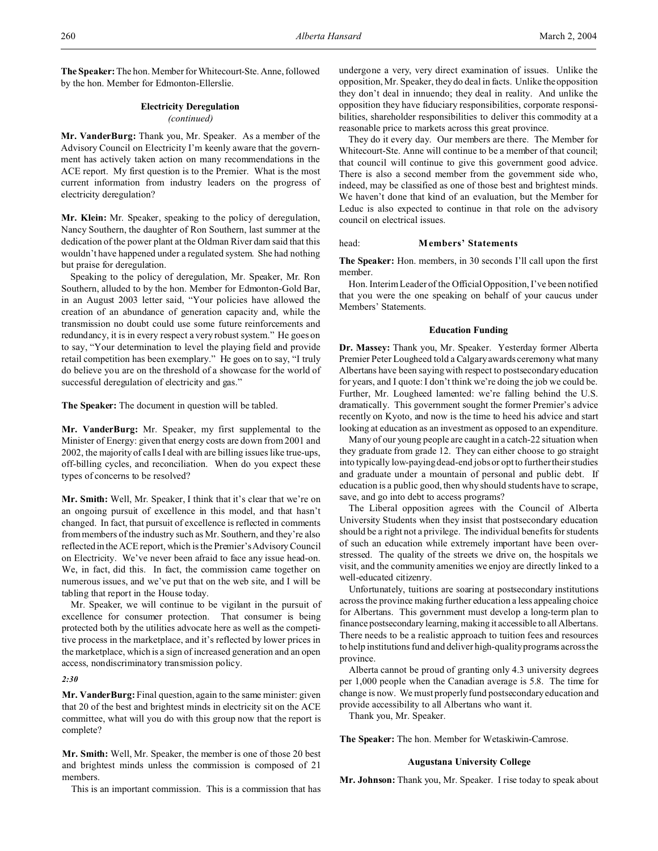**The Speaker:** The hon. Member for Whitecourt-Ste. Anne, followed by the hon. Member for Edmonton-Ellerslie.

## **Electricity Deregulation** *(continued)*

**Mr. VanderBurg:** Thank you, Mr. Speaker. As a member of the Advisory Council on Electricity I'm keenly aware that the government has actively taken action on many recommendations in the ACE report. My first question is to the Premier. What is the most current information from industry leaders on the progress of electricity deregulation?

**Mr. Klein:** Mr. Speaker, speaking to the policy of deregulation, Nancy Southern, the daughter of Ron Southern, last summer at the dedication of the power plant at the Oldman River dam said that this wouldn't have happened under a regulated system. She had nothing but praise for deregulation.

Speaking to the policy of deregulation, Mr. Speaker, Mr. Ron Southern, alluded to by the hon. Member for Edmonton-Gold Bar, in an August 2003 letter said, "Your policies have allowed the creation of an abundance of generation capacity and, while the transmission no doubt could use some future reinforcements and redundancy, it is in every respect a very robust system." He goes on to say, "Your determination to level the playing field and provide retail competition has been exemplary." He goes on to say, "I truly do believe you are on the threshold of a showcase for the world of successful deregulation of electricity and gas."

**The Speaker:** The document in question will be tabled.

**Mr. VanderBurg:** Mr. Speaker, my first supplemental to the Minister of Energy: given that energy costs are down from 2001 and 2002, the majority of calls I deal with are billing issues like true-ups, off-billing cycles, and reconciliation. When do you expect these types of concerns to be resolved?

**Mr. Smith:** Well, Mr. Speaker, I think that it's clear that we're on an ongoing pursuit of excellence in this model, and that hasn't changed. In fact, that pursuit of excellence is reflected in comments from members of the industry such as Mr. Southern, and they're also reflected in the ACE report, which is the Premier's Advisory Council on Electricity. We've never been afraid to face any issue head-on. We, in fact, did this. In fact, the commission came together on numerous issues, and we've put that on the web site, and I will be tabling that report in the House today.

Mr. Speaker, we will continue to be vigilant in the pursuit of excellence for consumer protection. That consumer is being protected both by the utilities advocate here as well as the competitive process in the marketplace, and it's reflected by lower prices in the marketplace, which is a sign of increased generation and an open access, nondiscriminatory transmission policy.

#### *2:30*

**Mr. VanderBurg:** Final question, again to the same minister: given that 20 of the best and brightest minds in electricity sit on the ACE committee, what will you do with this group now that the report is complete?

**Mr. Smith:** Well, Mr. Speaker, the member is one of those 20 best and brightest minds unless the commission is composed of 21 members.

This is an important commission. This is a commission that has

undergone a very, very direct examination of issues. Unlike the opposition, Mr. Speaker, they do deal in facts. Unlike the opposition they don't deal in innuendo; they deal in reality. And unlike the opposition they have fiduciary responsibilities, corporate responsibilities, shareholder responsibilities to deliver this commodity at a reasonable price to markets across this great province.

They do it every day. Our members are there. The Member for Whitecourt-Ste. Anne will continue to be a member of that council; that council will continue to give this government good advice. There is also a second member from the government side who, indeed, may be classified as one of those best and brightest minds. We haven't done that kind of an evaluation, but the Member for Leduc is also expected to continue in that role on the advisory council on electrical issues.

## head: **Members' Statements**

**The Speaker:** Hon. members, in 30 seconds I'll call upon the first member.

Hon. Interim Leader of the Official Opposition, I've been notified that you were the one speaking on behalf of your caucus under Members' Statements.

## **Education Funding**

**Dr. Massey:** Thank you, Mr. Speaker. Yesterday former Alberta Premier Peter Lougheed told a Calgary awards ceremony what many Albertans have been saying with respect to postsecondary education for years, and I quote: I don't think we're doing the job we could be. Further, Mr. Lougheed lamented: we're falling behind the U.S. dramatically. This government sought the former Premier's advice recently on Kyoto, and now is the time to heed his advice and start looking at education as an investment as opposed to an expenditure.

Many of our young people are caught in a catch-22 situation when they graduate from grade 12. They can either choose to go straight into typically low-paying dead-end jobs or opt to further their studies and graduate under a mountain of personal and public debt. If education is a public good, then why should students have to scrape, save, and go into debt to access programs?

The Liberal opposition agrees with the Council of Alberta University Students when they insist that postsecondary education should be a right not a privilege. The individual benefits for students of such an education while extremely important have been overstressed. The quality of the streets we drive on, the hospitals we visit, and the community amenities we enjoy are directly linked to a well-educated citizenry.

Unfortunately, tuitions are soaring at postsecondary institutions across the province making further education a less appealing choice for Albertans. This government must develop a long-term plan to finance postsecondary learning, making it accessible to all Albertans. There needs to be a realistic approach to tuition fees and resources to help institutions fund and deliver high-quality programs across the province.

Alberta cannot be proud of granting only 4.3 university degrees per 1,000 people when the Canadian average is 5.8. The time for change is now. We must properly fund postsecondary education and provide accessibility to all Albertans who want it.

Thank you, Mr. Speaker.

**The Speaker:** The hon. Member for Wetaskiwin-Camrose.

## **Augustana University College**

**Mr. Johnson:** Thank you, Mr. Speaker. I rise today to speak about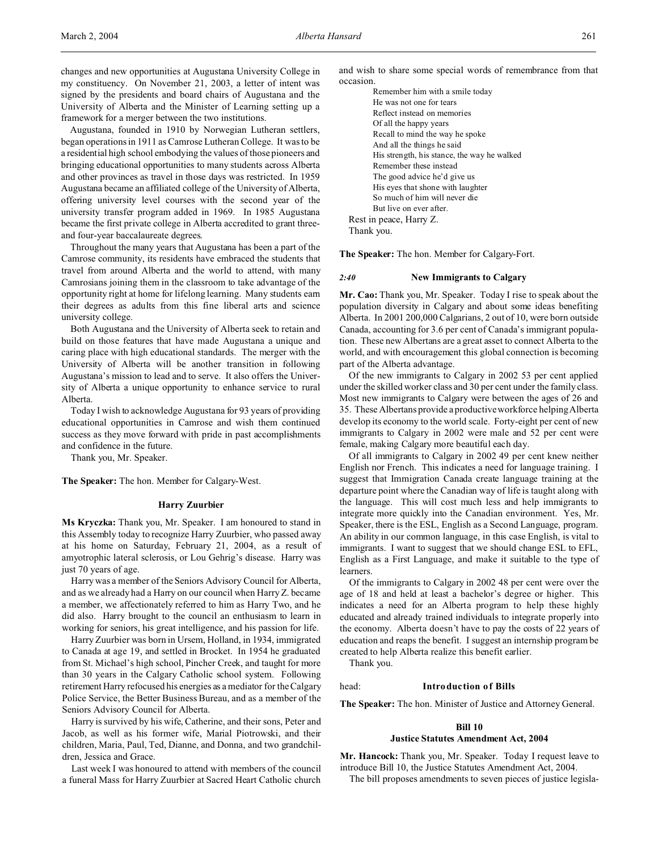Augustana, founded in 1910 by Norwegian Lutheran settlers, began operations in 1911 as Camrose Lutheran College. It was to be a residential high school embodying the values of those pioneers and bringing educational opportunities to many students across Alberta and other provinces as travel in those days was restricted. In 1959 Augustana became an affiliated college of the University of Alberta, offering university level courses with the second year of the university transfer program added in 1969. In 1985 Augustana became the first private college in Alberta accredited to grant threeand four-year baccalaureate degrees.

Throughout the many years that Augustana has been a part of the Camrose community, its residents have embraced the students that travel from around Alberta and the world to attend, with many Camrosians joining them in the classroom to take advantage of the opportunity right at home for lifelong learning. Many students earn their degrees as adults from this fine liberal arts and science university college.

Both Augustana and the University of Alberta seek to retain and build on those features that have made Augustana a unique and caring place with high educational standards. The merger with the University of Alberta will be another transition in following Augustana's mission to lead and to serve. It also offers the University of Alberta a unique opportunity to enhance service to rural Alberta.

Today I wish to acknowledge Augustana for 93 years of providing educational opportunities in Camrose and wish them continued success as they move forward with pride in past accomplishments and confidence in the future.

Thank you, Mr. Speaker.

**The Speaker:** The hon. Member for Calgary-West.

## **Harry Zuurbier**

**Ms Kryczka:** Thank you, Mr. Speaker. I am honoured to stand in this Assembly today to recognize Harry Zuurbier, who passed away at his home on Saturday, February 21, 2004, as a result of amyotrophic lateral sclerosis, or Lou Gehrig's disease. Harry was just 70 years of age.

Harry was a member of the Seniors Advisory Council for Alberta, and as we already had a Harry on our council when Harry Z. became a member, we affectionately referred to him as Harry Two, and he did also. Harry brought to the council an enthusiasm to learn in working for seniors, his great intelligence, and his passion for life.

Harry Zuurbier was born in Ursem, Holland, in 1934, immigrated to Canada at age 19, and settled in Brocket. In 1954 he graduated from St. Michael's high school, Pincher Creek, and taught for more than 30 years in the Calgary Catholic school system. Following retirement Harry refocused his energies as a mediator for the Calgary Police Service, the Better Business Bureau, and as a member of the Seniors Advisory Council for Alberta.

Harry is survived by his wife, Catherine, and their sons, Peter and Jacob, as well as his former wife, Marial Piotrowski, and their children, Maria, Paul, Ted, Dianne, and Donna, and two grandchildren, Jessica and Grace.

Last week I was honoured to attend with members of the council a funeral Mass for Harry Zuurbier at Sacred Heart Catholic church

and wish to share some special words of remembrance from that occasion.

Remember him with a smile today He was not one for tears Reflect instead on memories Of all the happy years Recall to mind the way he spoke And all the things he said His strength, his stance, the way he walked Remember these instead The good advice he'd give us His eyes that shone with laughter So much of him will never die But live on ever after. Rest in peace, Harry Z. Thank you.

**The Speaker:** The hon. Member for Calgary-Fort.

## *2:40* **New Immigrants to Calgary**

**Mr. Cao:** Thank you, Mr. Speaker. Today I rise to speak about the population diversity in Calgary and about some ideas benefiting Alberta. In 2001 200,000 Calgarians, 2 out of 10, were born outside Canada, accounting for 3.6 per cent of Canada's immigrant population. These new Albertans are a great asset to connect Alberta to the world, and with encouragement this global connection is becoming part of the Alberta advantage.

Of the new immigrants to Calgary in 2002 53 per cent applied under the skilled worker class and 30 per cent under the family class. Most new immigrants to Calgary were between the ages of 26 and 35. These Albertans provide a productive workforce helping Alberta develop its economy to the world scale. Forty-eight per cent of new immigrants to Calgary in 2002 were male and 52 per cent were female, making Calgary more beautiful each day.

Of all immigrants to Calgary in 2002 49 per cent knew neither English nor French. This indicates a need for language training. I suggest that Immigration Canada create language training at the departure point where the Canadian way of life is taught along with the language. This will cost much less and help immigrants to integrate more quickly into the Canadian environment. Yes, Mr. Speaker, there is the ESL, English as a Second Language, program. An ability in our common language, in this case English, is vital to immigrants. I want to suggest that we should change ESL to EFL, English as a First Language, and make it suitable to the type of learners.

Of the immigrants to Calgary in 2002 48 per cent were over the age of 18 and held at least a bachelor's degree or higher. This indicates a need for an Alberta program to help these highly educated and already trained individuals to integrate properly into the economy. Alberta doesn't have to pay the costs of 22 years of education and reaps the benefit. I suggest an internship program be created to help Alberta realize this benefit earlier.

Thank you.

#### head: **Introduction of Bills**

**The Speaker:** The hon. Minister of Justice and Attorney General.

## **Bill 10**

# **Justice Statutes Amendment Act, 2004**

**Mr. Hancock:** Thank you, Mr. Speaker. Today I request leave to introduce Bill 10, the Justice Statutes Amendment Act, 2004.

The bill proposes amendments to seven pieces of justice legisla-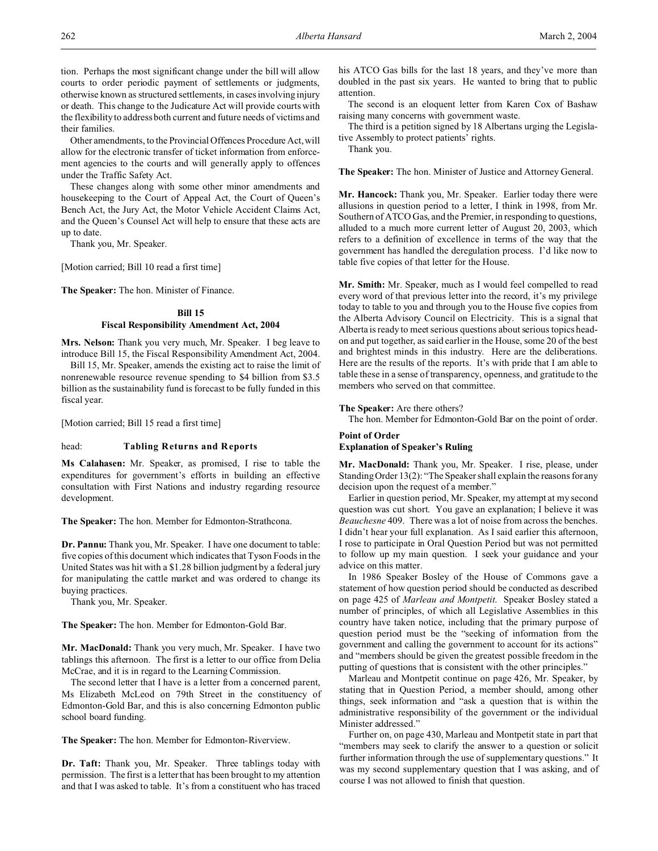tion. Perhaps the most significant change under the bill will allow courts to order periodic payment of settlements or judgments, otherwise known as structured settlements, in cases involving injury or death. This change to the Judicature Act will provide courts with the flexibility to address both current and future needs of victims and their families.

Other amendments, to the Provincial Offences Procedure Act, will allow for the electronic transfer of ticket information from enforcement agencies to the courts and will generally apply to offences under the Traffic Safety Act.

These changes along with some other minor amendments and housekeeping to the Court of Appeal Act, the Court of Queen's Bench Act, the Jury Act, the Motor Vehicle Accident Claims Act, and the Queen's Counsel Act will help to ensure that these acts are up to date.

Thank you, Mr. Speaker.

[Motion carried; Bill 10 read a first time]

**The Speaker:** The hon. Minister of Finance.

## **Bill 15**

## **Fiscal Responsibility Amendment Act, 2004**

**Mrs. Nelson:** Thank you very much, Mr. Speaker. I beg leave to introduce Bill 15, the Fiscal Responsibility Amendment Act, 2004.

Bill 15, Mr. Speaker, amends the existing act to raise the limit of nonrenewable resource revenue spending to \$4 billion from \$3.5 billion as the sustainability fund is forecast to be fully funded in this fiscal year.

[Motion carried; Bill 15 read a first time]

#### head: **Tabling Returns and Reports**

**Ms Calahasen:** Mr. Speaker, as promised, I rise to table the expenditures for government's efforts in building an effective consultation with First Nations and industry regarding resource development.

**The Speaker:** The hon. Member for Edmonton-Strathcona.

**Dr. Pannu:** Thank you, Mr. Speaker. I have one document to table: five copies of this document which indicates that Tyson Foods in the United States was hit with a \$1.28 billion judgment by a federal jury for manipulating the cattle market and was ordered to change its buying practices.

Thank you, Mr. Speaker.

**The Speaker:** The hon. Member for Edmonton-Gold Bar.

**Mr. MacDonald:** Thank you very much, Mr. Speaker. I have two tablings this afternoon. The first is a letter to our office from Delia McCrae, and it is in regard to the Learning Commission.

The second letter that I have is a letter from a concerned parent, Ms Elizabeth McLeod on 79th Street in the constituency of Edmonton-Gold Bar, and this is also concerning Edmonton public school board funding.

**The Speaker:** The hon. Member for Edmonton-Riverview.

**Dr. Taft:** Thank you, Mr. Speaker. Three tablings today with permission. The first is a letter that has been brought to my attention and that I was asked to table. It's from a constituent who has traced

his ATCO Gas bills for the last 18 years, and they've more than doubled in the past six years. He wanted to bring that to public attention.

The second is an eloquent letter from Karen Cox of Bashaw raising many concerns with government waste.

The third is a petition signed by 18 Albertans urging the Legislative Assembly to protect patients' rights.

Thank you.

**The Speaker:** The hon. Minister of Justice and Attorney General.

**Mr. Hancock:** Thank you, Mr. Speaker. Earlier today there were allusions in question period to a letter, I think in 1998, from Mr. Southern of ATCO Gas, and the Premier, in responding to questions, alluded to a much more current letter of August 20, 2003, which refers to a definition of excellence in terms of the way that the government has handled the deregulation process. I'd like now to table five copies of that letter for the House.

**Mr. Smith:** Mr. Speaker, much as I would feel compelled to read every word of that previous letter into the record, it's my privilege today to table to you and through you to the House five copies from the Alberta Advisory Council on Electricity. This is a signal that Alberta is ready to meet serious questions about serious topics headon and put together, as said earlier in the House, some 20 of the best and brightest minds in this industry. Here are the deliberations. Here are the results of the reports. It's with pride that I am able to table these in a sense of transparency, openness, and gratitude to the members who served on that committee.

## **The Speaker:** Are there others?

The hon. Member for Edmonton-Gold Bar on the point of order.

## **Point of Order Explanation of Speaker's Ruling**

**Mr. MacDonald:** Thank you, Mr. Speaker. I rise, please, under Standing Order 13(2): "The Speaker shall explain the reasons for any decision upon the request of a member."

Earlier in question period, Mr. Speaker, my attempt at my second question was cut short. You gave an explanation; I believe it was *Beauchesne* 409. There was a lot of noise from across the benches. I didn't hear your full explanation. As I said earlier this afternoon, I rose to participate in Oral Question Period but was not permitted to follow up my main question. I seek your guidance and your advice on this matter.

In 1986 Speaker Bosley of the House of Commons gave a statement of how question period should be conducted as described on page 425 of *Marleau and Montpetit*. Speaker Bosley stated a number of principles, of which all Legislative Assemblies in this country have taken notice, including that the primary purpose of question period must be the "seeking of information from the government and calling the government to account for its actions" and "members should be given the greatest possible freedom in the putting of questions that is consistent with the other principles."

Marleau and Montpetit continue on page 426, Mr. Speaker, by stating that in Question Period, a member should, among other things, seek information and "ask a question that is within the administrative responsibility of the government or the individual Minister addressed."

Further on, on page 430, Marleau and Montpetit state in part that "members may seek to clarify the answer to a question or solicit further information through the use of supplementary questions." It was my second supplementary question that I was asking, and of course I was not allowed to finish that question.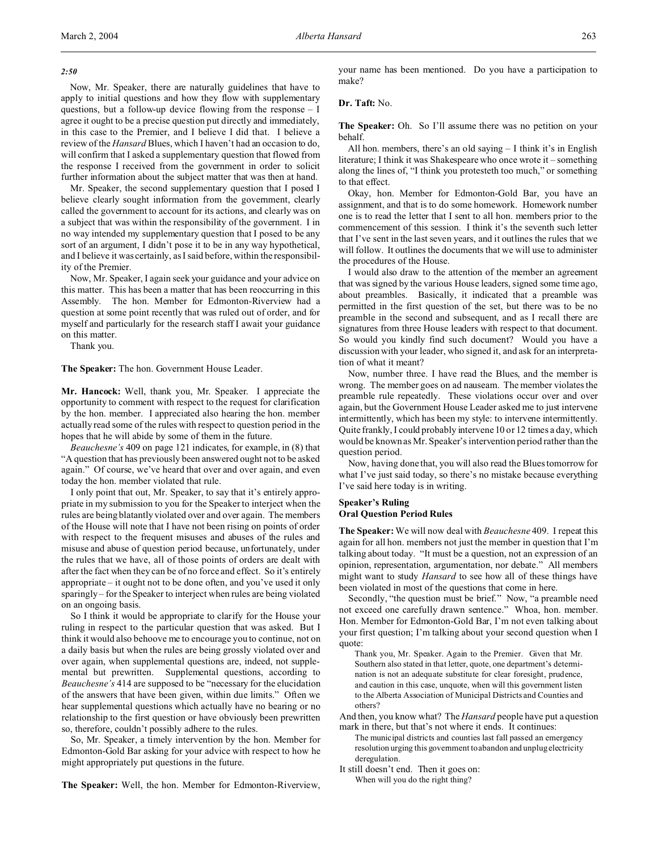Now, Mr. Speaker, there are naturally guidelines that have to apply to initial questions and how they flow with supplementary questions, but a follow-up device flowing from the response – I agree it ought to be a precise question put directly and immediately, in this case to the Premier, and I believe I did that. I believe a review of the *Hansard* Blues, which I haven't had an occasion to do, will confirm that I asked a supplementary question that flowed from the response I received from the government in order to solicit further information about the subject matter that was then at hand.

Mr. Speaker, the second supplementary question that I posed I believe clearly sought information from the government, clearly called the government to account for its actions, and clearly was on a subject that was within the responsibility of the government. I in no way intended my supplementary question that I posed to be any sort of an argument, I didn't pose it to be in any way hypothetical, and I believe it was certainly, as I said before, within the responsibility of the Premier.

Now, Mr. Speaker, I again seek your guidance and your advice on this matter. This has been a matter that has been reoccurring in this Assembly. The hon. Member for Edmonton-Riverview had a question at some point recently that was ruled out of order, and for myself and particularly for the research staff I await your guidance on this matter.

Thank you.

**The Speaker:** The hon. Government House Leader.

**Mr. Hancock:** Well, thank you, Mr. Speaker. I appreciate the opportunity to comment with respect to the request for clarification by the hon. member. I appreciated also hearing the hon. member actually read some of the rules with respect to question period in the hopes that he will abide by some of them in the future.

*Beauchesne's* 409 on page 121 indicates, for example, in (8) that "A question that has previously been answered ought not to be asked again." Of course, we've heard that over and over again, and even today the hon. member violated that rule.

I only point that out, Mr. Speaker, to say that it's entirely appropriate in my submission to you for the Speaker to interject when the rules are being blatantly violated over and over again. The members of the House will note that I have not been rising on points of order with respect to the frequent misuses and abuses of the rules and misuse and abuse of question period because, unfortunately, under the rules that we have, all of those points of orders are dealt with after the fact when they can be of no force and effect. So it's entirely appropriate – it ought not to be done often, and you've used it only sparingly – for the Speaker to interject when rules are being violated on an ongoing basis.

So I think it would be appropriate to clarify for the House your ruling in respect to the particular question that was asked. But I think it would also behoove me to encourage you to continue, not on a daily basis but when the rules are being grossly violated over and over again, when supplemental questions are, indeed, not supplemental but prewritten. Supplemental questions, according to *Beauchesne's* 414 are supposed to be "necessary for the elucidation of the answers that have been given, within due limits." Often we hear supplemental questions which actually have no bearing or no relationship to the first question or have obviously been prewritten so, therefore, couldn't possibly adhere to the rules.

So, Mr. Speaker, a timely intervention by the hon. Member for Edmonton-Gold Bar asking for your advice with respect to how he might appropriately put questions in the future.

**The Speaker:** Well, the hon. Member for Edmonton-Riverview,

your name has been mentioned. Do you have a participation to make?

## **Dr. Taft:** No.

**The Speaker:** Oh. So I'll assume there was no petition on your behalf.

All hon. members, there's an old saying – I think it's in English literature; I think it was Shakespeare who once wrote it – something along the lines of, "I think you protesteth too much," or something to that effect.

Okay, hon. Member for Edmonton-Gold Bar, you have an assignment, and that is to do some homework. Homework number one is to read the letter that I sent to all hon. members prior to the commencement of this session. I think it's the seventh such letter that I've sent in the last seven years, and it outlines the rules that we will follow. It outlines the documents that we will use to administer the procedures of the House.

I would also draw to the attention of the member an agreement that was signed by the various House leaders, signed some time ago, about preambles. Basically, it indicated that a preamble was permitted in the first question of the set, but there was to be no preamble in the second and subsequent, and as I recall there are signatures from three House leaders with respect to that document. So would you kindly find such document? Would you have a discussion with your leader, who signed it, and ask for an interpretation of what it meant?

Now, number three. I have read the Blues, and the member is wrong. The member goes on ad nauseam. The member violates the preamble rule repeatedly. These violations occur over and over again, but the Government House Leader asked me to just intervene intermittently, which has been my style: to intervene intermittently. Quite frankly, I could probably intervene 10 or 12 times a day, which would be known as Mr. Speaker's intervention period rather than the question period.

Now, having done that, you will also read the Blues tomorrow for what I've just said today, so there's no mistake because everything I've said here today is in writing.

# **Speaker's Ruling Oral Question Period Rules**

**The Speaker:** We will now deal with *Beauchesne* 409. I repeat this again for all hon. members not just the member in question that I'm talking about today. "It must be a question, not an expression of an opinion, representation, argumentation, nor debate." All members might want to study *Hansard* to see how all of these things have been violated in most of the questions that come in here.

Secondly, "the question must be brief." Now, "a preamble need not exceed one carefully drawn sentence." Whoa, hon. member. Hon. Member for Edmonton-Gold Bar, I'm not even talking about your first question; I'm talking about your second question when I quote:

Thank you, Mr. Speaker. Again to the Premier. Given that Mr. Southern also stated in that letter, quote, one department's determination is not an adequate substitute for clear foresight, prudence, and caution in this case, unquote, when will this government listen to the Alberta Association of Municipal Districts and Counties and others?

And then, you know what? The *Hansard* people have put a question mark in there, but that's not where it ends. It continues:

- The municipal districts and counties last fall passed an emergency resolution urging this government to abandon and unplug electricity deregulation.
- It still doesn't end. Then it goes on: When will you do the right thing?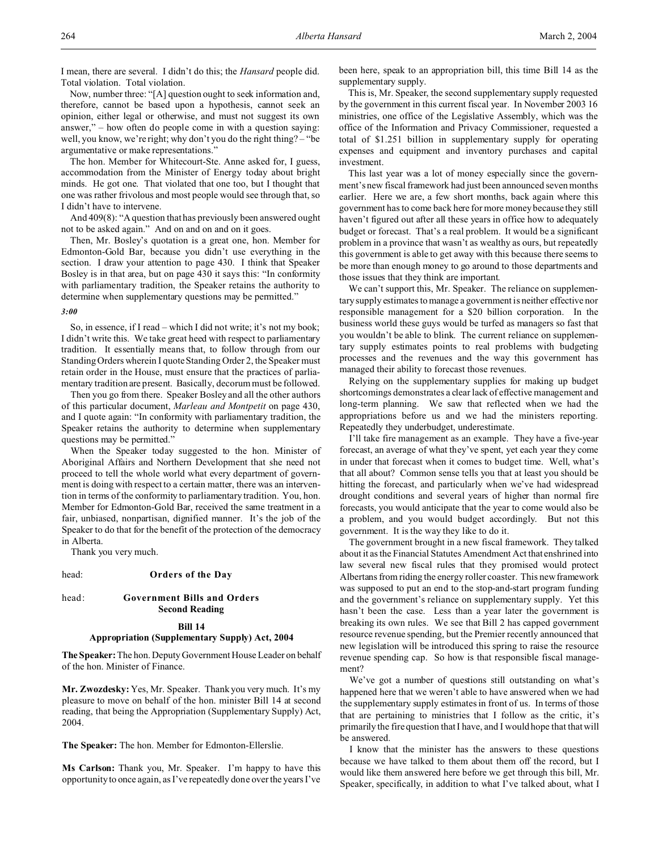I mean, there are several. I didn't do this; the *Hansard* people did. Total violation. Total violation.

Now, number three: "[A] question ought to seek information and, therefore, cannot be based upon a hypothesis, cannot seek an opinion, either legal or otherwise, and must not suggest its own answer," – how often do people come in with a question saying: well, you know, we're right; why don't you do the right thing? – "be argumentative or make representations."

The hon. Member for Whitecourt-Ste. Anne asked for, I guess, accommodation from the Minister of Energy today about bright minds. He got one. That violated that one too, but I thought that one was rather frivolous and most people would see through that, so I didn't have to intervene.

And 409(8): "A question that has previously been answered ought not to be asked again." And on and on and on it goes.

Then, Mr. Bosley's quotation is a great one, hon. Member for Edmonton-Gold Bar, because you didn't use everything in the section. I draw your attention to page 430. I think that Speaker Bosley is in that area, but on page 430 it says this: "In conformity with parliamentary tradition, the Speaker retains the authority to determine when supplementary questions may be permitted."

## *3:00*

So, in essence, if I read – which I did not write; it's not my book; I didn't write this. We take great heed with respect to parliamentary tradition. It essentially means that, to follow through from our Standing Orders wherein I quote Standing Order 2, the Speaker must retain order in the House, must ensure that the practices of parliamentary tradition are present. Basically, decorum must be followed.

Then you go from there. Speaker Bosley and all the other authors of this particular document, *Marleau and Montpetit* on page 430, and I quote again: "In conformity with parliamentary tradition, the Speaker retains the authority to determine when supplementary questions may be permitted."

When the Speaker today suggested to the hon. Minister of Aboriginal Affairs and Northern Development that she need not proceed to tell the whole world what every department of government is doing with respect to a certain matter, there was an intervention in terms of the conformity to parliamentary tradition. You, hon. Member for Edmonton-Gold Bar, received the same treatment in a fair, unbiased, nonpartisan, dignified manner. It's the job of the Speaker to do that for the benefit of the protection of the democracy in Alberta.

Thank you very much.

#### head: **Orders of the Day**

## head: **Government Bills and Orders Second Reading**

## **Bill 14**

## **Appropriation (Supplementary Supply) Act, 2004**

**The Speaker:** The hon. Deputy Government House Leader on behalf of the hon. Minister of Finance.

**Mr. Zwozdesky:** Yes, Mr. Speaker. Thank you very much. It's my pleasure to move on behalf of the hon. minister Bill 14 at second reading, that being the Appropriation (Supplementary Supply) Act, 2004.

**The Speaker:** The hon. Member for Edmonton-Ellerslie.

**Ms Carlson:** Thank you, Mr. Speaker. I'm happy to have this opportunity to once again, as I've repeatedly done over the years I've

been here, speak to an appropriation bill, this time Bill 14 as the supplementary supply.

This is, Mr. Speaker, the second supplementary supply requested by the government in this current fiscal year. In November 2003 16 ministries, one office of the Legislative Assembly, which was the office of the Information and Privacy Commissioner, requested a total of \$1.251 billion in supplementary supply for operating expenses and equipment and inventory purchases and capital investment.

This last year was a lot of money especially since the government's new fiscal framework had just been announced seven months earlier. Here we are, a few short months, back again where this government has to come back here for more money because they still haven't figured out after all these years in office how to adequately budget or forecast. That's a real problem. It would be a significant problem in a province that wasn't as wealthy as ours, but repeatedly this government is able to get away with this because there seems to be more than enough money to go around to those departments and those issues that they think are important.

We can't support this, Mr. Speaker. The reliance on supplementary supply estimates to manage a government is neither effective nor responsible management for a \$20 billion corporation. In the business world these guys would be turfed as managers so fast that you wouldn't be able to blink. The current reliance on supplementary supply estimates points to real problems with budgeting processes and the revenues and the way this government has managed their ability to forecast those revenues.

Relying on the supplementary supplies for making up budget shortcomings demonstrates a clear lack of effective management and long-term planning. We saw that reflected when we had the appropriations before us and we had the ministers reporting. Repeatedly they underbudget, underestimate.

I'll take fire management as an example. They have a five-year forecast, an average of what they've spent, yet each year they come in under that forecast when it comes to budget time. Well, what's that all about? Common sense tells you that at least you should be hitting the forecast, and particularly when we've had widespread drought conditions and several years of higher than normal fire forecasts, you would anticipate that the year to come would also be a problem, and you would budget accordingly. But not this government. It is the way they like to do it.

The government brought in a new fiscal framework. They talked about it as the Financial Statutes Amendment Act that enshrined into law several new fiscal rules that they promised would protect Albertans from riding the energy roller coaster. This new framework was supposed to put an end to the stop-and-start program funding and the government's reliance on supplementary supply. Yet this hasn't been the case. Less than a year later the government is breaking its own rules. We see that Bill 2 has capped government resource revenue spending, but the Premier recently announced that new legislation will be introduced this spring to raise the resource revenue spending cap. So how is that responsible fiscal management?

We've got a number of questions still outstanding on what's happened here that we weren't able to have answered when we had the supplementary supply estimates in front of us. In terms of those that are pertaining to ministries that I follow as the critic, it's primarily the fire question that I have, and I would hope that that will be answered.

I know that the minister has the answers to these questions because we have talked to them about them off the record, but I would like them answered here before we get through this bill, Mr. Speaker, specifically, in addition to what I've talked about, what I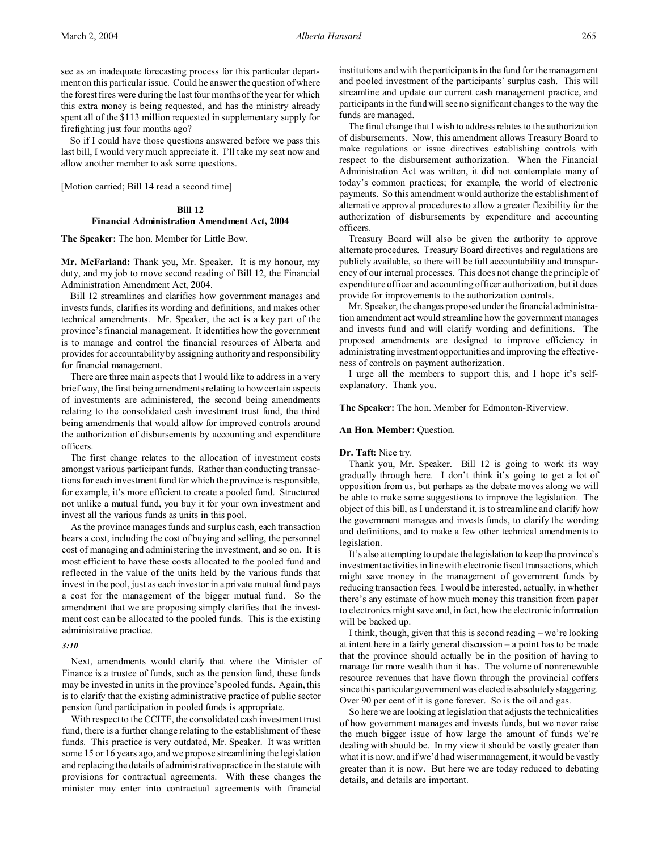see as an inadequate forecasting process for this particular department on this particular issue. Could he answer the question of where the forest fires were during the last four months of the year for which this extra money is being requested, and has the ministry already spent all of the \$113 million requested in supplementary supply for firefighting just four months ago?

So if I could have those questions answered before we pass this last bill, I would very much appreciate it. I'll take my seat now and allow another member to ask some questions.

[Motion carried; Bill 14 read a second time]

## **Bill 12**

# **Financial Administration Amendment Act, 2004**

**The Speaker:** The hon. Member for Little Bow.

**Mr. McFarland:** Thank you, Mr. Speaker. It is my honour, my duty, and my job to move second reading of Bill 12, the Financial Administration Amendment Act, 2004.

Bill 12 streamlines and clarifies how government manages and invests funds, clarifies its wording and definitions, and makes other technical amendments. Mr. Speaker, the act is a key part of the province's financial management. It identifies how the government is to manage and control the financial resources of Alberta and provides for accountability by assigning authority and responsibility for financial management.

There are three main aspects that I would like to address in a very brief way, the first being amendments relating to how certain aspects of investments are administered, the second being amendments relating to the consolidated cash investment trust fund, the third being amendments that would allow for improved controls around the authorization of disbursements by accounting and expenditure officers.

The first change relates to the allocation of investment costs amongst various participant funds. Rather than conducting transactions for each investment fund for which the province is responsible, for example, it's more efficient to create a pooled fund. Structured not unlike a mutual fund, you buy it for your own investment and invest all the various funds as units in this pool.

As the province manages funds and surplus cash, each transaction bears a cost, including the cost of buying and selling, the personnel cost of managing and administering the investment, and so on. It is most efficient to have these costs allocated to the pooled fund and reflected in the value of the units held by the various funds that invest in the pool, just as each investor in a private mutual fund pays a cost for the management of the bigger mutual fund. So the amendment that we are proposing simply clarifies that the investment cost can be allocated to the pooled funds. This is the existing administrative practice.

## *3:10*

Next, amendments would clarify that where the Minister of Finance is a trustee of funds, such as the pension fund, these funds may be invested in units in the province's pooled funds. Again, this is to clarify that the existing administrative practice of public sector pension fund participation in pooled funds is appropriate.

With respect to the CCITF, the consolidated cash investment trust fund, there is a further change relating to the establishment of these funds. This practice is very outdated, Mr. Speaker. It was written some 15 or 16 years ago, and we propose streamlining the legislation and replacing the details of administrative practice in the statute with provisions for contractual agreements. With these changes the minister may enter into contractual agreements with financial institutions and with the participants in the fund for the management and pooled investment of the participants' surplus cash. This will streamline and update our current cash management practice, and participants in the fund will see no significant changes to the way the funds are managed.

The final change that I wish to address relates to the authorization of disbursements. Now, this amendment allows Treasury Board to make regulations or issue directives establishing controls with respect to the disbursement authorization. When the Financial Administration Act was written, it did not contemplate many of today's common practices; for example, the world of electronic payments. So this amendment would authorize the establishment of alternative approval procedures to allow a greater flexibility for the authorization of disbursements by expenditure and accounting officers.

Treasury Board will also be given the authority to approve alternate procedures. Treasury Board directives and regulations are publicly available, so there will be full accountability and transparency of our internal processes. This does not change the principle of expenditure officer and accounting officer authorization, but it does provide for improvements to the authorization controls.

Mr. Speaker, the changes proposed under the financial administration amendment act would streamline how the government manages and invests fund and will clarify wording and definitions. The proposed amendments are designed to improve efficiency in administrating investment opportunities and improving the effectiveness of controls on payment authorization.

I urge all the members to support this, and I hope it's selfexplanatory. Thank you.

## **The Speaker:** The hon. Member for Edmonton-Riverview.

## **An Hon. Member:** Question.

## **Dr. Taft:** Nice try.

Thank you, Mr. Speaker. Bill 12 is going to work its way gradually through here. I don't think it's going to get a lot of opposition from us, but perhaps as the debate moves along we will be able to make some suggestions to improve the legislation. The object of this bill, as I understand it, is to streamline and clarify how the government manages and invests funds, to clarify the wording and definitions, and to make a few other technical amendments to legislation.

It's also attempting to update the legislation to keep the province's investment activities in line with electronic fiscal transactions,which might save money in the management of government funds by reducing transaction fees. I would be interested, actually, in whether there's any estimate of how much money this transition from paper to electronics might save and, in fact, how the electronic information will be backed up.

I think, though, given that this is second reading – we're looking at intent here in a fairly general discussion – a point has to be made that the province should actually be in the position of having to manage far more wealth than it has. The volume of nonrenewable resource revenues that have flown through the provincial coffers since this particular governmentwas elected is absolutely staggering. Over 90 per cent of it is gone forever. So is the oil and gas.

So here we are looking at legislation that adjusts the technicalities of how government manages and invests funds, but we never raise the much bigger issue of how large the amount of funds we're dealing with should be. In my view it should be vastly greater than what it is now, and if we'd had wiser management, it would be vastly greater than it is now. But here we are today reduced to debating details, and details are important.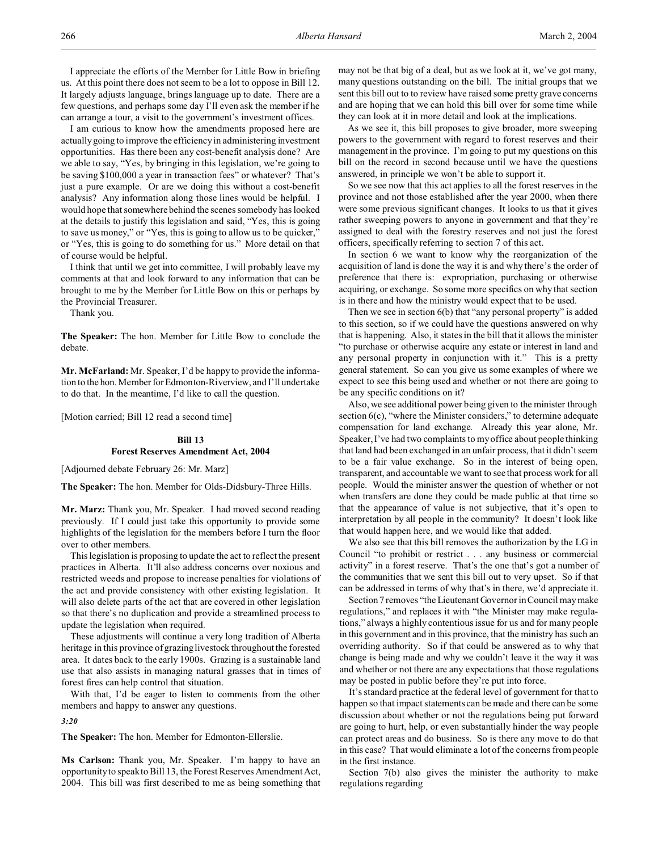I appreciate the efforts of the Member for Little Bow in briefing us. At this point there does not seem to be a lot to oppose in Bill 12. It largely adjusts language, brings language up to date. There are a few questions, and perhaps some day I'll even ask the member if he can arrange a tour, a visit to the government's investment offices.

I am curious to know how the amendments proposed here are actually going to improve the efficiency in administering investment opportunities. Has there been any cost-benefit analysis done? Are we able to say, "Yes, by bringing in this legislation, we're going to be saving \$100,000 a year in transaction fees" or whatever? That's just a pure example. Or are we doing this without a cost-benefit analysis? Any information along those lines would be helpful. I would hope that somewhere behind the scenes somebody has looked at the details to justify this legislation and said, "Yes, this is going to save us money," or "Yes, this is going to allow us to be quicker," or "Yes, this is going to do something for us." More detail on that of course would be helpful.

I think that until we get into committee, I will probably leave my comments at that and look forward to any information that can be brought to me by the Member for Little Bow on this or perhaps by the Provincial Treasurer.

Thank you.

**The Speaker:** The hon. Member for Little Bow to conclude the debate.

**Mr. McFarland:** Mr. Speaker, I'd be happy to provide the information to the hon. Member for Edmonton-Riverview, and I'll undertake to do that. In the meantime, I'd like to call the question.

[Motion carried; Bill 12 read a second time]

## **Bill 13 Forest Reserves Amendment Act, 2004**

[Adjourned debate February 26: Mr. Marz]

**The Speaker:** The hon. Member for Olds-Didsbury-Three Hills.

**Mr. Marz:** Thank you, Mr. Speaker. I had moved second reading previously. If I could just take this opportunity to provide some highlights of the legislation for the members before I turn the floor over to other members.

This legislation is proposing to update the act to reflect the present practices in Alberta. It'll also address concerns over noxious and restricted weeds and propose to increase penalties for violations of the act and provide consistency with other existing legislation. It will also delete parts of the act that are covered in other legislation so that there's no duplication and provide a streamlined process to update the legislation when required.

These adjustments will continue a very long tradition of Alberta heritage in this province of grazing livestock throughout the forested area. It dates back to the early 1900s. Grazing is a sustainable land use that also assists in managing natural grasses that in times of forest fires can help control that situation.

With that, I'd be eager to listen to comments from the other members and happy to answer any questions.

#### *3:20*

**The Speaker:** The hon. Member for Edmonton-Ellerslie.

**Ms Carlson:** Thank you, Mr. Speaker. I'm happy to have an opportunity to speak to Bill 13, the Forest Reserves Amendment Act, 2004. This bill was first described to me as being something that may not be that big of a deal, but as we look at it, we've got many, many questions outstanding on the bill. The initial groups that we sent this bill out to to review have raised some pretty grave concerns and are hoping that we can hold this bill over for some time while they can look at it in more detail and look at the implications.

As we see it, this bill proposes to give broader, more sweeping powers to the government with regard to forest reserves and their management in the province. I'm going to put my questions on this bill on the record in second because until we have the questions answered, in principle we won't be able to support it.

So we see now that this act applies to all the forest reserves in the province and not those established after the year 2000, when there were some previous significant changes. It looks to us that it gives rather sweeping powers to anyone in government and that they're assigned to deal with the forestry reserves and not just the forest officers, specifically referring to section 7 of this act.

In section 6 we want to know why the reorganization of the acquisition of land is done the way it is and why there's the order of preference that there is: expropriation, purchasing or otherwise acquiring, or exchange. So some more specifics on why that section is in there and how the ministry would expect that to be used.

Then we see in section 6(b) that "any personal property" is added to this section, so if we could have the questions answered on why that is happening. Also, it states in the bill that it allows the minister "to purchase or otherwise acquire any estate or interest in land and any personal property in conjunction with it." This is a pretty general statement. So can you give us some examples of where we expect to see this being used and whether or not there are going to be any specific conditions on it?

Also, we see additional power being given to the minister through section 6(c), "where the Minister considers," to determine adequate compensation for land exchange. Already this year alone, Mr. Speaker, I've had two complaints to my office about people thinking that land had been exchanged in an unfair process, that it didn't seem to be a fair value exchange. So in the interest of being open, transparent, and accountable we want to see that process work for all people. Would the minister answer the question of whether or not when transfers are done they could be made public at that time so that the appearance of value is not subjective, that it's open to interpretation by all people in the community? It doesn't look like that would happen here, and we would like that added.

We also see that this bill removes the authorization by the LG in Council "to prohibit or restrict . . . any business or commercial activity" in a forest reserve. That's the one that's got a number of the communities that we sent this bill out to very upset. So if that can be addressed in terms of why that's in there, we'd appreciate it.

Section 7 removes "the Lieutenant Governor in Council may make regulations," and replaces it with "the Minister may make regulations," always a highly contentious issue for us and for many people in this government and in this province, that the ministry has such an overriding authority. So if that could be answered as to why that change is being made and why we couldn't leave it the way it was and whether or not there are any expectations that those regulations may be posted in public before they're put into force.

It's standard practice at the federal level of government for that to happen so that impact statements can be made and there can be some discussion about whether or not the regulations being put forward are going to hurt, help, or even substantially hinder the way people can protect areas and do business. So is there any move to do that in this case? That would eliminate a lot of the concerns from people in the first instance.

Section 7(b) also gives the minister the authority to make regulations regarding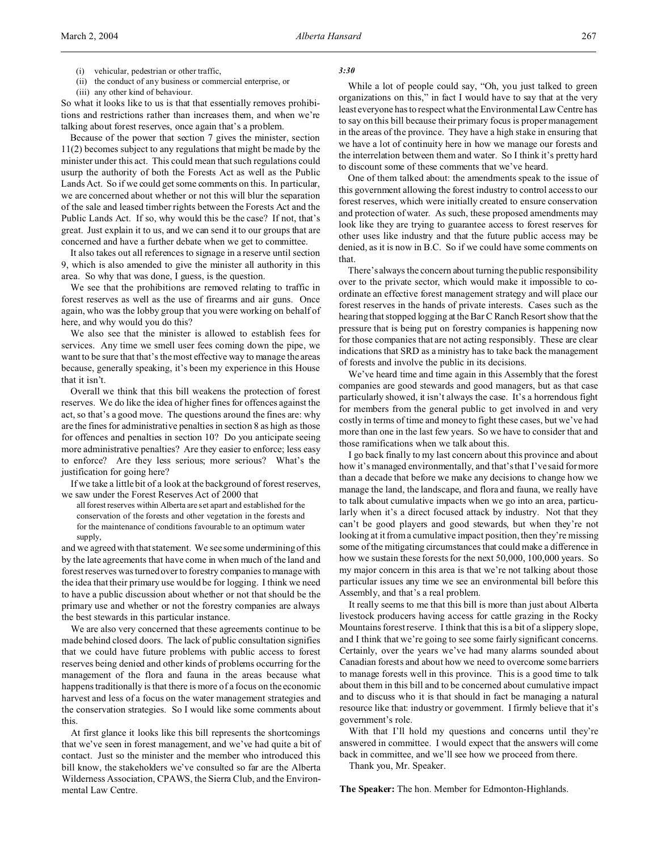- (ii) the conduct of any business or commercial enterprise, or
- (iii) any other kind of behaviour.

So what it looks like to us is that that essentially removes prohibitions and restrictions rather than increases them, and when we're talking about forest reserves, once again that's a problem.

Because of the power that section 7 gives the minister, section 11(2) becomes subject to any regulations that might be made by the minister under this act. This could mean that such regulations could usurp the authority of both the Forests Act as well as the Public Lands Act. So if we could get some comments on this. In particular, we are concerned about whether or not this will blur the separation of the sale and leased timber rights between the Forests Act and the Public Lands Act. If so, why would this be the case? If not, that's great. Just explain it to us, and we can send it to our groups that are concerned and have a further debate when we get to committee.

It also takes out all references to signage in a reserve until section 9, which is also amended to give the minister all authority in this area. So why that was done, I guess, is the question.

We see that the prohibitions are removed relating to traffic in forest reserves as well as the use of firearms and air guns. Once again, who was the lobby group that you were working on behalf of here, and why would you do this?

We also see that the minister is allowed to establish fees for services. Any time we smell user fees coming down the pipe, we want to be sure that that's the most effective way to manage the areas because, generally speaking, it's been my experience in this House that it isn't.

Overall we think that this bill weakens the protection of forest reserves. We do like the idea of higher fines for offences against the act, so that's a good move. The questions around the fines are: why are the fines for administrative penalties in section 8 as high as those for offences and penalties in section 10? Do you anticipate seeing more administrative penalties? Are they easier to enforce; less easy to enforce? Are they less serious; more serious? What's the justification for going here?

If we take a little bit of a look at the background of forest reserves, we saw under the Forest Reserves Act of 2000 that

all forest reserves within Alberta are set apart and established for the conservation of the forests and other vegetation in the forests and for the maintenance of conditions favourable to an optimum water supply,

and we agreed with that statement. We see some undermining of this by the late agreements that have come in when much of the land and forest reserves was turned over to forestry companies to manage with the idea that their primary use would be for logging. I think we need to have a public discussion about whether or not that should be the primary use and whether or not the forestry companies are always the best stewards in this particular instance.

We are also very concerned that these agreements continue to be made behind closed doors. The lack of public consultation signifies that we could have future problems with public access to forest reserves being denied and other kinds of problems occurring for the management of the flora and fauna in the areas because what happens traditionally is that there is more of a focus on the economic harvest and less of a focus on the water management strategies and the conservation strategies. So I would like some comments about this.

At first glance it looks like this bill represents the shortcomings that we've seen in forest management, and we've had quite a bit of contact. Just so the minister and the member who introduced this bill know, the stakeholders we've consulted so far are the Alberta Wilderness Association, CPAWS, the Sierra Club, and the Environmental Law Centre.

## *3:30*

While a lot of people could say, "Oh, you just talked to green organizations on this," in fact I would have to say that at the very least everyone has to respect what the Environmental Law Centre has to say on this bill because their primary focus is proper management in the areas of the province. They have a high stake in ensuring that we have a lot of continuity here in how we manage our forests and the interrelation between them and water. So I think it's pretty hard to discount some of these comments that we've heard.

One of them talked about: the amendments speak to the issue of this government allowing the forest industry to control access to our forest reserves, which were initially created to ensure conservation and protection of water. As such, these proposed amendments may look like they are trying to guarantee access to forest reserves for other uses like industry and that the future public access may be denied, as it is now in B.C. So if we could have some comments on that.

There's always the concern about turning the public responsibility over to the private sector, which would make it impossible to coordinate an effective forest management strategy and will place our forest reserves in the hands of private interests. Cases such as the hearing that stopped logging at the Bar C Ranch Resort show that the pressure that is being put on forestry companies is happening now for those companies that are not acting responsibly. These are clear indications that SRD as a ministry has to take back the management of forests and involve the public in its decisions.

We've heard time and time again in this Assembly that the forest companies are good stewards and good managers, but as that case particularly showed, it isn't always the case. It's a horrendous fight for members from the general public to get involved in and very costly in terms of time and money to fight these cases, but we've had more than one in the last few years. So we have to consider that and those ramifications when we talk about this.

I go back finally to my last concern about this province and about how it's managed environmentally, and that's that I've said for more than a decade that before we make any decisions to change how we manage the land, the landscape, and flora and fauna, we really have to talk about cumulative impacts when we go into an area, particularly when it's a direct focused attack by industry. Not that they can't be good players and good stewards, but when they're not looking at it from a cumulative impact position, then they're missing some of the mitigating circumstances that could make a difference in how we sustain these forests for the next 50,000, 100,000 years. So my major concern in this area is that we're not talking about those particular issues any time we see an environmental bill before this Assembly, and that's a real problem.

It really seems to me that this bill is more than just about Alberta livestock producers having access for cattle grazing in the Rocky Mountains forest reserve. I think that this is a bit of a slippery slope, and I think that we're going to see some fairly significant concerns. Certainly, over the years we've had many alarms sounded about Canadian forests and about how we need to overcome some barriers to manage forests well in this province. This is a good time to talk about them in this bill and to be concerned about cumulative impact and to discuss who it is that should in fact be managing a natural resource like that: industry or government. I firmly believe that it's government's role.

With that I'll hold my questions and concerns until they're answered in committee. I would expect that the answers will come back in committee, and we'll see how we proceed from there.

Thank you, Mr. Speaker.

**The Speaker:** The hon. Member for Edmonton-Highlands.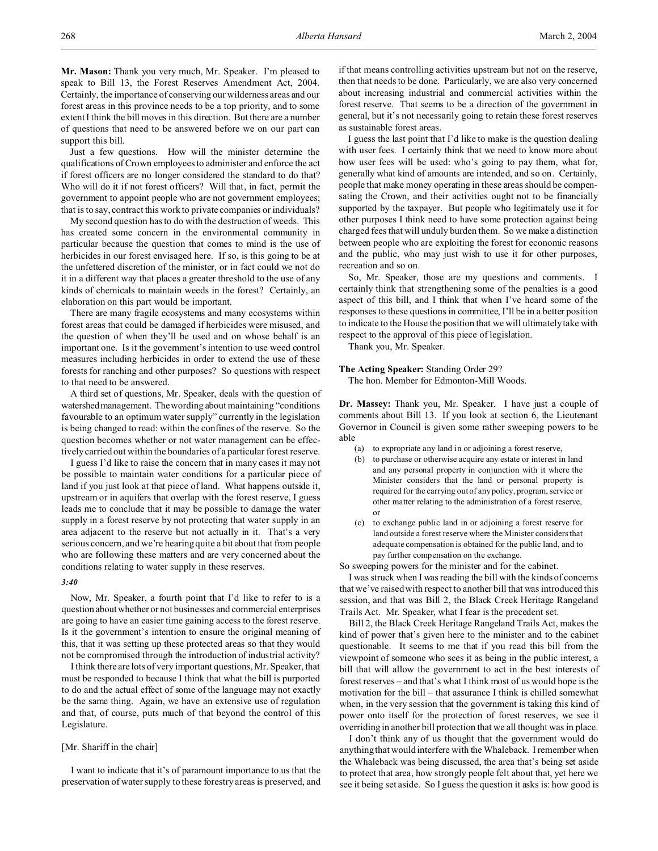**Mr. Mason:** Thank you very much, Mr. Speaker. I'm pleased to speak to Bill 13, the Forest Reserves Amendment Act, 2004. Certainly, the importance of conserving our wilderness areas and our forest areas in this province needs to be a top priority, and to some extent I think the bill moves in this direction. But there are a number of questions that need to be answered before we on our part can support this bill.

Just a few questions. How will the minister determine the qualifications of Crown employees to administer and enforce the act if forest officers are no longer considered the standard to do that? Who will do it if not forest officers? Will that, in fact, permit the government to appoint people who are not government employees; that is to say, contract this work to private companies or individuals?

My second question has to do with the destruction of weeds. This has created some concern in the environmental community in particular because the question that comes to mind is the use of herbicides in our forest envisaged here. If so, is this going to be at the unfettered discretion of the minister, or in fact could we not do it in a different way that places a greater threshold to the use of any kinds of chemicals to maintain weeds in the forest? Certainly, an elaboration on this part would be important.

There are many fragile ecosystems and many ecosystems within forest areas that could be damaged if herbicides were misused, and the question of when they'll be used and on whose behalf is an important one. Is it the government's intention to use weed control measures including herbicides in order to extend the use of these forests for ranching and other purposes? So questions with respect to that need to be answered.

A third set of questions, Mr. Speaker, deals with the question of watershed management. The wording about maintaining "conditions" favourable to an optimum water supply" currently in the legislation is being changed to read: within the confines of the reserve. So the question becomes whether or not water management can be effectively carried out within the boundaries of a particular forest reserve.

I guess I'd like to raise the concern that in many cases it may not be possible to maintain water conditions for a particular piece of land if you just look at that piece of land. What happens outside it, upstream or in aquifers that overlap with the forest reserve, I guess leads me to conclude that it may be possible to damage the water supply in a forest reserve by not protecting that water supply in an area adjacent to the reserve but not actually in it. That's a very serious concern, and we're hearing quite a bit about that from people who are following these matters and are very concerned about the conditions relating to water supply in these reserves.

#### *3:40*

Now, Mr. Speaker, a fourth point that I'd like to refer to is a question about whether or not businesses and commercial enterprises are going to have an easier time gaining access to the forest reserve. Is it the government's intention to ensure the original meaning of this, that it was setting up these protected areas so that they would not be compromised through the introduction of industrial activity?

I think there are lots of very important questions, Mr. Speaker, that must be responded to because I think that what the bill is purported to do and the actual effect of some of the language may not exactly be the same thing. Again, we have an extensive use of regulation and that, of course, puts much of that beyond the control of this Legislature.

#### [Mr. Shariff in the chair]

I want to indicate that it's of paramount importance to us that the preservation of water supply to these forestry areas is preserved, and if that means controlling activities upstream but not on the reserve, then that needs to be done. Particularly, we are also very concerned about increasing industrial and commercial activities within the forest reserve. That seems to be a direction of the government in general, but it's not necessarily going to retain these forest reserves as sustainable forest areas.

I guess the last point that I'd like to make is the question dealing with user fees. I certainly think that we need to know more about how user fees will be used: who's going to pay them, what for, generally what kind of amounts are intended, and so on. Certainly, people that make money operating in these areas should be compensating the Crown, and their activities ought not to be financially supported by the taxpayer. But people who legitimately use it for other purposes I think need to have some protection against being charged fees that will unduly burden them. So we make a distinction between people who are exploiting the forest for economic reasons and the public, who may just wish to use it for other purposes, recreation and so on.

So, Mr. Speaker, those are my questions and comments. I certainly think that strengthening some of the penalties is a good aspect of this bill, and I think that when I've heard some of the responses to these questions in committee, I'll be in a better position to indicate to the House the position that we will ultimately take with respect to the approval of this piece of legislation.

Thank you, Mr. Speaker.

#### **The Acting Speaker:** Standing Order 29?

The hon. Member for Edmonton-Mill Woods.

**Dr. Massey:** Thank you, Mr. Speaker. I have just a couple of comments about Bill 13. If you look at section 6, the Lieutenant Governor in Council is given some rather sweeping powers to be able

- (a) to expropriate any land in or adjoining a forest reserve,
- (b) to purchase or otherwise acquire any estate or interest in land and any personal property in conjunction with it where the Minister considers that the land or personal property is required for the carrying out of any policy, program, service or other matter relating to the administration of a forest reserve, or
- (c) to exchange public land in or adjoining a forest reserve for land outside a forest reserve where the Minister considers that adequate compensation is obtained for the public land, and to pay further compensation on the exchange.

So sweeping powers for the minister and for the cabinet.

I was struck when I was reading the bill with the kinds of concerns that we've raised with respect to another bill that was introduced this session, and that was Bill 2, the Black Creek Heritage Rangeland Trails Act. Mr. Speaker, what I fear is the precedent set.

Bill 2, the Black Creek Heritage Rangeland Trails Act, makes the kind of power that's given here to the minister and to the cabinet questionable. It seems to me that if you read this bill from the viewpoint of someone who sees it as being in the public interest, a bill that will allow the government to act in the best interests of forest reserves – and that's what I think most of us would hope is the motivation for the bill – that assurance I think is chilled somewhat when, in the very session that the government is taking this kind of power onto itself for the protection of forest reserves, we see it overriding in another bill protection that we all thought was in place.

I don't think any of us thought that the government would do anything that would interfere with the Whaleback. I remember when the Whaleback was being discussed, the area that's being set aside to protect that area, how strongly people felt about that, yet here we see it being set aside. So I guess the question it asks is: how good is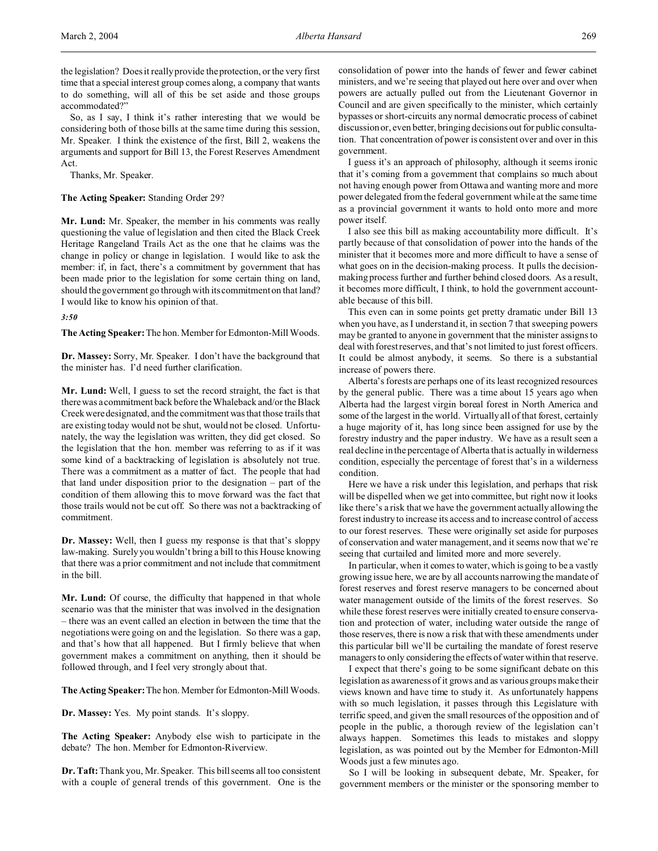the legislation? Does it really provide the protection, or the very first time that a special interest group comes along, a company that wants to do something, will all of this be set aside and those groups accommodated?"

So, as I say, I think it's rather interesting that we would be considering both of those bills at the same time during this session, Mr. Speaker. I think the existence of the first, Bill 2, weakens the arguments and support for Bill 13, the Forest Reserves Amendment Act.

Thanks, Mr. Speaker.

## **The Acting Speaker:** Standing Order 29?

**Mr. Lund:** Mr. Speaker, the member in his comments was really questioning the value of legislation and then cited the Black Creek Heritage Rangeland Trails Act as the one that he claims was the change in policy or change in legislation. I would like to ask the member: if, in fact, there's a commitment by government that has been made prior to the legislation for some certain thing on land, should the government go through with its commitment on that land? I would like to know his opinion of that.

*3:50*

**The Acting Speaker:**The hon. Member for Edmonton-Mill Woods.

**Dr. Massey:** Sorry, Mr. Speaker. I don't have the background that the minister has. I'd need further clarification.

**Mr. Lund:** Well, I guess to set the record straight, the fact is that there was a commitment back before the Whaleback and/or the Black Creek were designated, and the commitment was that those trails that are existing today would not be shut, would not be closed. Unfortunately, the way the legislation was written, they did get closed. So the legislation that the hon. member was referring to as if it was some kind of a backtracking of legislation is absolutely not true. There was a commitment as a matter of fact. The people that had that land under disposition prior to the designation – part of the condition of them allowing this to move forward was the fact that those trails would not be cut off. So there was not a backtracking of commitment.

**Dr. Massey:** Well, then I guess my response is that that's sloppy law-making. Surely you wouldn't bring a bill to this House knowing that there was a prior commitment and not include that commitment in the bill.

**Mr. Lund:** Of course, the difficulty that happened in that whole scenario was that the minister that was involved in the designation – there was an event called an election in between the time that the negotiations were going on and the legislation. So there was a gap, and that's how that all happened. But I firmly believe that when government makes a commitment on anything, then it should be followed through, and I feel very strongly about that.

**The Acting Speaker:**The hon. Member for Edmonton-Mill Woods.

**Dr. Massey:** Yes. My point stands. It's sloppy.

**The Acting Speaker:** Anybody else wish to participate in the debate? The hon. Member for Edmonton-Riverview.

**Dr. Taft:** Thank you, Mr. Speaker. This bill seems all too consistent with a couple of general trends of this government. One is the consolidation of power into the hands of fewer and fewer cabinet ministers, and we're seeing that played out here over and over when powers are actually pulled out from the Lieutenant Governor in Council and are given specifically to the minister, which certainly bypasses or short-circuits any normal democratic process of cabinet discussion or, even better, bringing decisions out for public consultation. That concentration of power is consistent over and over in this government.

I guess it's an approach of philosophy, although it seems ironic that it's coming from a government that complains so much about not having enough power from Ottawa and wanting more and more power delegated from the federal government while at the same time as a provincial government it wants to hold onto more and more power itself.

I also see this bill as making accountability more difficult. It's partly because of that consolidation of power into the hands of the minister that it becomes more and more difficult to have a sense of what goes on in the decision-making process. It pulls the decisionmaking process further and further behind closed doors. As a result, it becomes more difficult, I think, to hold the government accountable because of this bill.

This even can in some points get pretty dramatic under Bill 13 when you have, as I understand it, in section 7 that sweeping powers may be granted to anyone in government that the minister assigns to deal with forest reserves, and that's not limited to just forest officers. It could be almost anybody, it seems. So there is a substantial increase of powers there.

Alberta's forests are perhaps one of its least recognized resources by the general public. There was a time about 15 years ago when Alberta had the largest virgin boreal forest in North America and some of the largest in the world. Virtually all of that forest, certainly a huge majority of it, has long since been assigned for use by the forestry industry and the paper industry. We have as a result seen a real decline in the percentage of Alberta that is actually in wilderness condition, especially the percentage of forest that's in a wilderness condition.

Here we have a risk under this legislation, and perhaps that risk will be dispelled when we get into committee, but right now it looks like there's a risk that we have the government actually allowing the forest industry to increase its access and to increase control of access to our forest reserves. These were originally set aside for purposes of conservation and water management, and it seems now that we're seeing that curtailed and limited more and more severely.

In particular, when it comes to water, which is going to be a vastly growing issue here, we are by all accounts narrowing the mandate of forest reserves and forest reserve managers to be concerned about water management outside of the limits of the forest reserves. So while these forest reserves were initially created to ensure conservation and protection of water, including water outside the range of those reserves, there is now a risk that with these amendments under this particular bill we'll be curtailing the mandate of forest reserve managers to only considering the effects of water within that reserve.

I expect that there's going to be some significant debate on this legislation as awareness of it grows and as various groups make their views known and have time to study it. As unfortunately happens with so much legislation, it passes through this Legislature with terrific speed, and given the small resources of the opposition and of people in the public, a thorough review of the legislation can't always happen. Sometimes this leads to mistakes and sloppy legislation, as was pointed out by the Member for Edmonton-Mill Woods just a few minutes ago.

So I will be looking in subsequent debate, Mr. Speaker, for government members or the minister or the sponsoring member to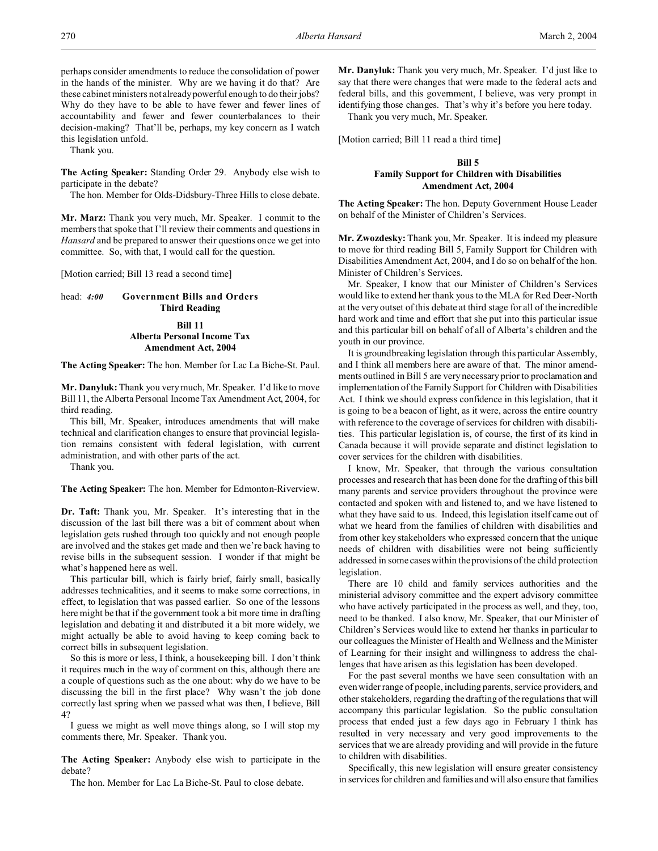perhaps consider amendments to reduce the consolidation of power in the hands of the minister. Why are we having it do that? Are these cabinet ministers not already powerful enough to do their jobs? Why do they have to be able to have fewer and fewer lines of accountability and fewer and fewer counterbalances to their decision-making? That'll be, perhaps, my key concern as I watch this legislation unfold.

Thank you.

**The Acting Speaker:** Standing Order 29. Anybody else wish to participate in the debate?

The hon. Member for Olds-Didsbury-Three Hills to close debate.

**Mr. Marz:** Thank you very much, Mr. Speaker. I commit to the members that spoke that I'll review their comments and questions in *Hansard* and be prepared to answer their questions once we get into committee. So, with that, I would call for the question.

[Motion carried; Bill 13 read a second time]

## head: *4:00* **Government Bills and Orders Third Reading**

# **Bill 11 Alberta Personal Income Tax Amendment Act, 2004**

**The Acting Speaker:** The hon. Member for Lac La Biche-St. Paul.

**Mr. Danyluk:** Thank you very much, Mr. Speaker. I'd like to move Bill 11, the Alberta Personal Income Tax Amendment Act, 2004, for third reading.

This bill, Mr. Speaker, introduces amendments that will make technical and clarification changes to ensure that provincial legislation remains consistent with federal legislation, with current administration, and with other parts of the act.

Thank you.

**The Acting Speaker:** The hon. Member for Edmonton-Riverview.

**Dr. Taft:** Thank you, Mr. Speaker. It's interesting that in the discussion of the last bill there was a bit of comment about when legislation gets rushed through too quickly and not enough people are involved and the stakes get made and then we're back having to revise bills in the subsequent session. I wonder if that might be what's happened here as well.

This particular bill, which is fairly brief, fairly small, basically addresses technicalities, and it seems to make some corrections, in effect, to legislation that was passed earlier. So one of the lessons here might be that if the government took a bit more time in drafting legislation and debating it and distributed it a bit more widely, we might actually be able to avoid having to keep coming back to correct bills in subsequent legislation.

So this is more or less, I think, a housekeeping bill. I don't think it requires much in the way of comment on this, although there are a couple of questions such as the one about: why do we have to be discussing the bill in the first place? Why wasn't the job done correctly last spring when we passed what was then, I believe, Bill 4?

I guess we might as well move things along, so I will stop my comments there, Mr. Speaker. Thank you.

**The Acting Speaker:** Anybody else wish to participate in the debate?

The hon. Member for Lac La Biche-St. Paul to close debate.

**Mr. Danyluk:** Thank you very much, Mr. Speaker. I'd just like to say that there were changes that were made to the federal acts and federal bills, and this government, I believe, was very prompt in identifying those changes. That's why it's before you here today.

Thank you very much, Mr. Speaker.

[Motion carried; Bill 11 read a third time]

# **Bill 5 Family Support for Children with Disabilities Amendment Act, 2004**

**The Acting Speaker:** The hon. Deputy Government House Leader on behalf of the Minister of Children's Services.

**Mr. Zwozdesky:** Thank you, Mr. Speaker. It is indeed my pleasure to move for third reading Bill 5, Family Support for Children with Disabilities Amendment Act, 2004, and I do so on behalf of the hon. Minister of Children's Services.

Mr. Speaker, I know that our Minister of Children's Services would like to extend her thank yous to the MLA for Red Deer-North at the very outset of this debate at third stage for all of the incredible hard work and time and effort that she put into this particular issue and this particular bill on behalf of all of Alberta's children and the youth in our province.

It is groundbreaking legislation through this particular Assembly, and I think all members here are aware of that. The minor amendments outlined in Bill 5 are very necessary prior to proclamation and implementation of the Family Support for Children with Disabilities Act. I think we should express confidence in this legislation, that it is going to be a beacon of light, as it were, across the entire country with reference to the coverage of services for children with disabilities. This particular legislation is, of course, the first of its kind in Canada because it will provide separate and distinct legislation to cover services for the children with disabilities.

I know, Mr. Speaker, that through the various consultation processes and research that has been done for the drafting of this bill many parents and service providers throughout the province were contacted and spoken with and listened to, and we have listened to what they have said to us. Indeed, this legislation itself came out of what we heard from the families of children with disabilities and from other key stakeholders who expressed concern that the unique needs of children with disabilities were not being sufficiently addressed in some cases within the provisions of the child protection legislation.

There are 10 child and family services authorities and the ministerial advisory committee and the expert advisory committee who have actively participated in the process as well, and they, too, need to be thanked. I also know, Mr. Speaker, that our Minister of Children's Services would like to extend her thanks in particular to our colleagues the Minister of Health and Wellness and the Minister of Learning for their insight and willingness to address the challenges that have arisen as this legislation has been developed.

For the past several months we have seen consultation with an even wider range of people, including parents, service providers, and other stakeholders, regarding the drafting of the regulations that will accompany this particular legislation. So the public consultation process that ended just a few days ago in February I think has resulted in very necessary and very good improvements to the services that we are already providing and will provide in the future to children with disabilities.

Specifically, this new legislation will ensure greater consistency in services for children and families and will also ensure that families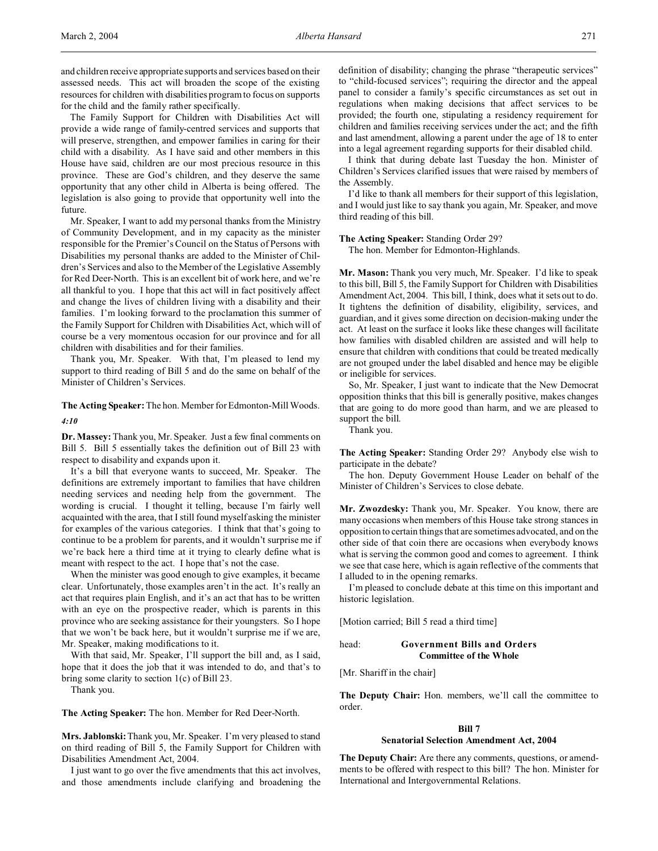and children receive appropriate supports and services based on their assessed needs. This act will broaden the scope of the existing resources for children with disabilities program to focus on supports for the child and the family rather specifically.

The Family Support for Children with Disabilities Act will provide a wide range of family-centred services and supports that will preserve, strengthen, and empower families in caring for their child with a disability. As I have said and other members in this House have said, children are our most precious resource in this province. These are God's children, and they deserve the same opportunity that any other child in Alberta is being offered. The legislation is also going to provide that opportunity well into the future.

Mr. Speaker, I want to add my personal thanks from the Ministry of Community Development, and in my capacity as the minister responsible for the Premier's Council on the Status of Persons with Disabilities my personal thanks are added to the Minister of Children's Services and also to the Member of the Legislative Assembly for Red Deer-North. This is an excellent bit of work here, and we're all thankful to you. I hope that this act will in fact positively affect and change the lives of children living with a disability and their families. I'm looking forward to the proclamation this summer of the Family Support for Children with Disabilities Act, which will of course be a very momentous occasion for our province and for all children with disabilities and for their families.

Thank you, Mr. Speaker. With that, I'm pleased to lend my support to third reading of Bill 5 and do the same on behalf of the Minister of Children's Services.

**The Acting Speaker:** The hon. Member for Edmonton-Mill Woods. *4:10*

**Dr. Massey:** Thank you, Mr. Speaker. Just a few final comments on Bill 5. Bill 5 essentially takes the definition out of Bill 23 with respect to disability and expands upon it.

It's a bill that everyone wants to succeed, Mr. Speaker. The definitions are extremely important to families that have children needing services and needing help from the government. The wording is crucial. I thought it telling, because I'm fairly well acquainted with the area, that I still found myself asking the minister for examples of the various categories. I think that that's going to continue to be a problem for parents, and it wouldn't surprise me if we're back here a third time at it trying to clearly define what is meant with respect to the act. I hope that's not the case.

When the minister was good enough to give examples, it became clear. Unfortunately, those examples aren't in the act. It's really an act that requires plain English, and it's an act that has to be written with an eye on the prospective reader, which is parents in this province who are seeking assistance for their youngsters. So I hope that we won't be back here, but it wouldn't surprise me if we are, Mr. Speaker, making modifications to it.

With that said, Mr. Speaker, I'll support the bill and, as I said, hope that it does the job that it was intended to do, and that's to bring some clarity to section 1(c) of Bill 23.

Thank you.

**The Acting Speaker:** The hon. Member for Red Deer-North.

**Mrs. Jablonski:**Thank you, Mr. Speaker. I'm very pleased to stand on third reading of Bill 5, the Family Support for Children with Disabilities Amendment Act, 2004.

I just want to go over the five amendments that this act involves, and those amendments include clarifying and broadening the definition of disability; changing the phrase "therapeutic services" to "child-focused services"; requiring the director and the appeal panel to consider a family's specific circumstances as set out in regulations when making decisions that affect services to be provided; the fourth one, stipulating a residency requirement for children and families receiving services under the act; and the fifth and last amendment, allowing a parent under the age of 18 to enter into a legal agreement regarding supports for their disabled child.

I think that during debate last Tuesday the hon. Minister of Children's Services clarified issues that were raised by members of the Assembly.

I'd like to thank all members for their support of this legislation, and I would just like to say thank you again, Mr. Speaker, and move third reading of this bill.

## **The Acting Speaker:** Standing Order 29?

The hon. Member for Edmonton-Highlands.

**Mr. Mason:** Thank you very much, Mr. Speaker. I'd like to speak to this bill, Bill 5, the Family Support for Children with Disabilities Amendment Act, 2004. This bill, I think, does what it sets out to do. It tightens the definition of disability, eligibility, services, and guardian, and it gives some direction on decision-making under the act. At least on the surface it looks like these changes will facilitate how families with disabled children are assisted and will help to ensure that children with conditions that could be treated medically are not grouped under the label disabled and hence may be eligible or ineligible for services.

So, Mr. Speaker, I just want to indicate that the New Democrat opposition thinks that this bill is generally positive, makes changes that are going to do more good than harm, and we are pleased to support the bill.

Thank you.

**The Acting Speaker:** Standing Order 29? Anybody else wish to participate in the debate?

The hon. Deputy Government House Leader on behalf of the Minister of Children's Services to close debate.

**Mr. Zwozdesky:** Thank you, Mr. Speaker. You know, there are many occasions when members of this House take strong stances in opposition to certain things that are sometimes advocated, and on the other side of that coin there are occasions when everybody knows what is serving the common good and comes to agreement. I think we see that case here, which is again reflective of the comments that I alluded to in the opening remarks.

I'm pleased to conclude debate at this time on this important and historic legislation.

[Motion carried; Bill 5 read a third time]

# head: **Government Bills and Orders Committee of the Whole**

[Mr. Shariff in the chair]

**The Deputy Chair:** Hon. members, we'll call the committee to order.

#### **Bill 7**

#### **Senatorial Selection Amendment Act, 2004**

**The Deputy Chair:** Are there any comments, questions, or amendments to be offered with respect to this bill? The hon. Minister for International and Intergovernmental Relations.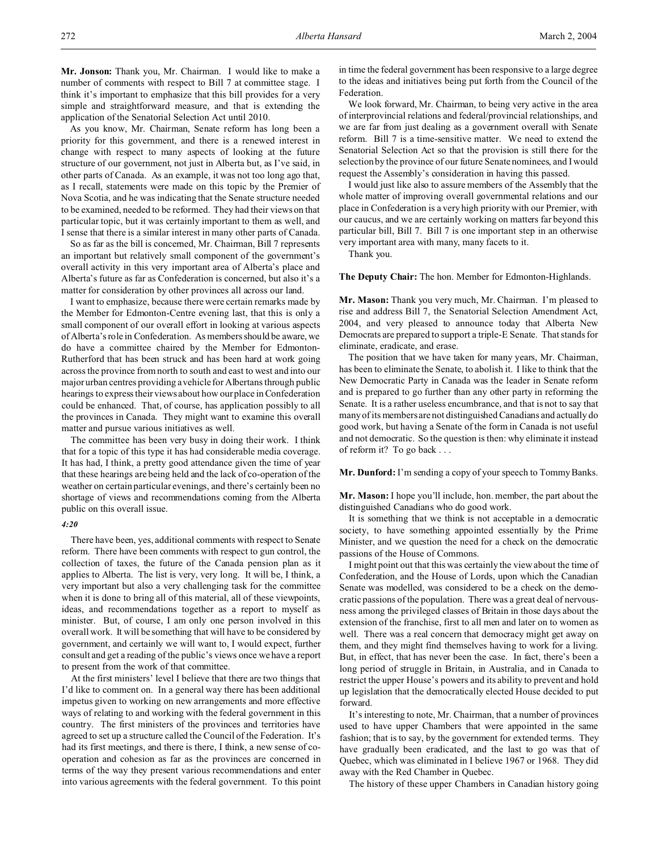As you know, Mr. Chairman, Senate reform has long been a priority for this government, and there is a renewed interest in change with respect to many aspects of looking at the future structure of our government, not just in Alberta but, as I've said, in other parts of Canada. As an example, it was not too long ago that, as I recall, statements were made on this topic by the Premier of Nova Scotia, and he was indicating that the Senate structure needed to be examined, needed to be reformed. They had their views on that particular topic, but it was certainly important to them as well, and I sense that there is a similar interest in many other parts of Canada.

So as far as the bill is concerned, Mr. Chairman, Bill 7 represents an important but relatively small component of the government's overall activity in this very important area of Alberta's place and Alberta's future as far as Confederation is concerned, but also it's a matter for consideration by other provinces all across our land.

I want to emphasize, because there were certain remarks made by the Member for Edmonton-Centre evening last, that this is only a small component of our overall effort in looking at various aspects of Alberta's role in Confederation. As members should be aware, we do have a committee chaired by the Member for Edmonton-Rutherford that has been struck and has been hard at work going across the province from north to south and east to west and into our major urban centres providing a vehicle for Albertans through public hearings to express their views about how our place in Confederation could be enhanced. That, of course, has application possibly to all the provinces in Canada. They might want to examine this overall matter and pursue various initiatives as well.

The committee has been very busy in doing their work. I think that for a topic of this type it has had considerable media coverage. It has had, I think, a pretty good attendance given the time of year that these hearings are being held and the lack of co-operation of the weather on certain particular evenings, and there's certainly been no shortage of views and recommendations coming from the Alberta public on this overall issue.

## *4:20*

There have been, yes, additional comments with respect to Senate reform. There have been comments with respect to gun control, the collection of taxes, the future of the Canada pension plan as it applies to Alberta. The list is very, very long. It will be, I think, a very important but also a very challenging task for the committee when it is done to bring all of this material, all of these viewpoints, ideas, and recommendations together as a report to myself as minister. But, of course, I am only one person involved in this overall work. It will be something that will have to be considered by government, and certainly we will want to, I would expect, further consult and get a reading of the public's views once we have a report to present from the work of that committee.

At the first ministers' level I believe that there are two things that I'd like to comment on. In a general way there has been additional impetus given to working on new arrangements and more effective ways of relating to and working with the federal government in this country. The first ministers of the provinces and territories have agreed to set up a structure called the Council of the Federation. It's had its first meetings, and there is there, I think, a new sense of cooperation and cohesion as far as the provinces are concerned in terms of the way they present various recommendations and enter into various agreements with the federal government. To this point in time the federal government has been responsive to a large degree to the ideas and initiatives being put forth from the Council of the Federation.

We look forward, Mr. Chairman, to being very active in the area of interprovincial relations and federal/provincial relationships, and we are far from just dealing as a government overall with Senate reform. Bill 7 is a time-sensitive matter. We need to extend the Senatorial Selection Act so that the provision is still there for the selection by the province of our future Senate nominees, and I would request the Assembly's consideration in having this passed.

I would just like also to assure members of the Assembly that the whole matter of improving overall governmental relations and our place in Confederation is a very high priority with our Premier, with our caucus, and we are certainly working on matters far beyond this particular bill, Bill 7. Bill 7 is one important step in an otherwise very important area with many, many facets to it.

Thank you.

**The Deputy Chair:** The hon. Member for Edmonton-Highlands.

**Mr. Mason:** Thank you very much, Mr. Chairman. I'm pleased to rise and address Bill 7, the Senatorial Selection Amendment Act, 2004, and very pleased to announce today that Alberta New Democrats are prepared to support a triple-E Senate. That stands for eliminate, eradicate, and erase.

The position that we have taken for many years, Mr. Chairman, has been to eliminate the Senate, to abolish it. I like to think that the New Democratic Party in Canada was the leader in Senate reform and is prepared to go further than any other party in reforming the Senate. It is a rather useless encumbrance, and that is not to say that many of its members are not distinguished Canadians and actually do good work, but having a Senate of the form in Canada is not useful and not democratic. So the question is then: why eliminate it instead of reform it? To go back . . .

**Mr. Dunford:** I'm sending a copy of your speech to Tommy Banks.

**Mr. Mason:** I hope you'll include, hon. member, the part about the distinguished Canadians who do good work.

It is something that we think is not acceptable in a democratic society, to have something appointed essentially by the Prime Minister, and we question the need for a check on the democratic passions of the House of Commons.

I might point out that this was certainly the view about the time of Confederation, and the House of Lords, upon which the Canadian Senate was modelled, was considered to be a check on the democratic passions of the population. There was a great deal of nervousness among the privileged classes of Britain in those days about the extension of the franchise, first to all men and later on to women as well. There was a real concern that democracy might get away on them, and they might find themselves having to work for a living. But, in effect, that has never been the case. In fact, there's been a long period of struggle in Britain, in Australia, and in Canada to restrict the upper House's powers and its ability to prevent and hold up legislation that the democratically elected House decided to put forward.

It's interesting to note, Mr. Chairman, that a number of provinces used to have upper Chambers that were appointed in the same fashion; that is to say, by the government for extended terms. They have gradually been eradicated, and the last to go was that of Quebec, which was eliminated in I believe 1967 or 1968. They did away with the Red Chamber in Quebec.

The history of these upper Chambers in Canadian history going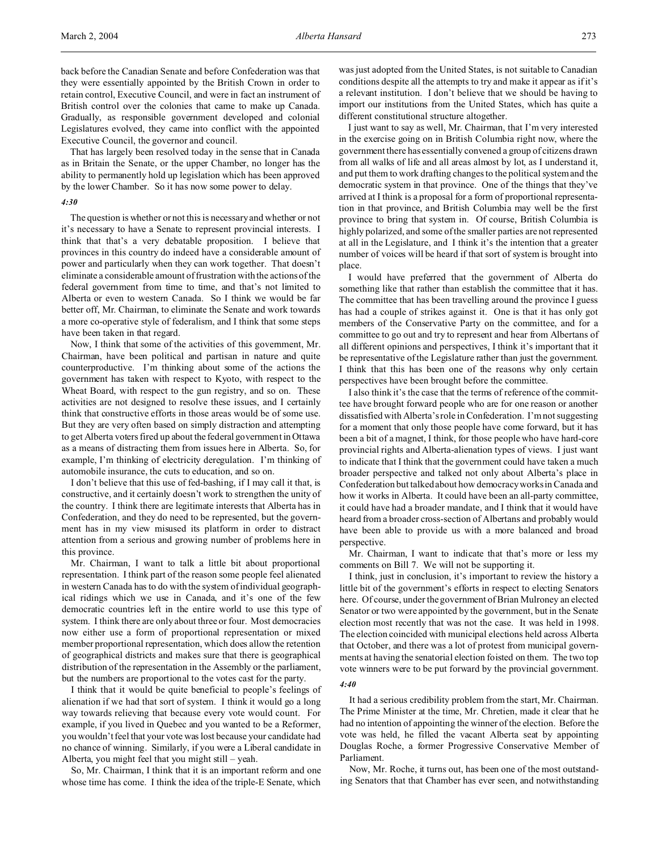back before the Canadian Senate and before Confederation was that they were essentially appointed by the British Crown in order to retain control, Executive Council, and were in fact an instrument of British control over the colonies that came to make up Canada. Gradually, as responsible government developed and colonial Legislatures evolved, they came into conflict with the appointed Executive Council, the governor and council.

That has largely been resolved today in the sense that in Canada as in Britain the Senate, or the upper Chamber, no longer has the ability to permanently hold up legislation which has been approved by the lower Chamber. So it has now some power to delay.

#### *4:30*

The question is whether or not this is necessary and whether or not it's necessary to have a Senate to represent provincial interests. I think that that's a very debatable proposition. I believe that provinces in this country do indeed have a considerable amount of power and particularly when they can work together. That doesn't eliminate a considerable amount of frustration with the actions of the federal government from time to time, and that's not limited to Alberta or even to western Canada. So I think we would be far better off, Mr. Chairman, to eliminate the Senate and work towards a more co-operative style of federalism, and I think that some steps have been taken in that regard.

Now, I think that some of the activities of this government, Mr. Chairman, have been political and partisan in nature and quite counterproductive. I'm thinking about some of the actions the government has taken with respect to Kyoto, with respect to the Wheat Board, with respect to the gun registry, and so on. These activities are not designed to resolve these issues, and I certainly think that constructive efforts in those areas would be of some use. But they are very often based on simply distraction and attempting to get Alberta voters fired up about the federal government in Ottawa as a means of distracting them from issues here in Alberta. So, for example, I'm thinking of electricity deregulation. I'm thinking of automobile insurance, the cuts to education, and so on.

I don't believe that this use of fed-bashing, if I may call it that, is constructive, and it certainly doesn't work to strengthen the unity of the country. I think there are legitimate interests that Alberta has in Confederation, and they do need to be represented, but the government has in my view misused its platform in order to distract attention from a serious and growing number of problems here in this province.

Mr. Chairman, I want to talk a little bit about proportional representation. I think part of the reason some people feel alienated in western Canada has to do with the system of individual geographical ridings which we use in Canada, and it's one of the few democratic countries left in the entire world to use this type of system. I think there are only about three or four. Most democracies now either use a form of proportional representation or mixed member proportional representation, which does allow the retention of geographical districts and makes sure that there is geographical distribution of the representation in the Assembly or the parliament, but the numbers are proportional to the votes cast for the party.

I think that it would be quite beneficial to people's feelings of alienation if we had that sort of system. I think it would go a long way towards relieving that because every vote would count. For example, if you lived in Quebec and you wanted to be a Reformer, you wouldn't feel that your vote was lost because your candidate had no chance of winning. Similarly, if you were a Liberal candidate in Alberta, you might feel that you might still – yeah.

So, Mr. Chairman, I think that it is an important reform and one whose time has come. I think the idea of the triple-E Senate, which was just adopted from the United States, is not suitable to Canadian conditions despite all the attempts to try and make it appear as if it's a relevant institution. I don't believe that we should be having to import our institutions from the United States, which has quite a different constitutional structure altogether.

I just want to say as well, Mr. Chairman, that I'm very interested in the exercise going on in British Columbia right now, where the government there has essentially convened a group of citizens drawn from all walks of life and all areas almost by lot, as I understand it, and put them to work drafting changes to the political system and the democratic system in that province. One of the things that they've arrived at I think is a proposal for a form of proportional representation in that province, and British Columbia may well be the first province to bring that system in. Of course, British Columbia is highly polarized, and some of the smaller parties are not represented at all in the Legislature, and I think it's the intention that a greater number of voices will be heard if that sort of system is brought into place.

I would have preferred that the government of Alberta do something like that rather than establish the committee that it has. The committee that has been travelling around the province I guess has had a couple of strikes against it. One is that it has only got members of the Conservative Party on the committee, and for a committee to go out and try to represent and hear from Albertans of all different opinions and perspectives, I think it's important that it be representative of the Legislature rather than just the government. I think that this has been one of the reasons why only certain perspectives have been brought before the committee.

I also think it's the case that the terms of reference of the committee have brought forward people who are for one reason or another dissatisfied with Alberta's role in Confederation. I'm not suggesting for a moment that only those people have come forward, but it has been a bit of a magnet, I think, for those people who have hard-core provincial rights and Alberta-alienation types of views. I just want to indicate that I think that the government could have taken a much broader perspective and talked not only about Alberta's place in Confederation but talked about how democracy works in Canada and how it works in Alberta. It could have been an all-party committee, it could have had a broader mandate, and I think that it would have heard from a broader cross-section of Albertans and probably would have been able to provide us with a more balanced and broad perspective.

Mr. Chairman, I want to indicate that that's more or less my comments on Bill 7. We will not be supporting it.

I think, just in conclusion, it's important to review the history a little bit of the government's efforts in respect to electing Senators here. Of course, under the government of Brian Mulroney an elected Senator or two were appointed by the government, but in the Senate election most recently that was not the case. It was held in 1998. The election coincided with municipal elections held across Alberta that October, and there was a lot of protest from municipal governments at having the senatorial election foisted on them. The two top vote winners were to be put forward by the provincial government.

## *4:40*

It had a serious credibility problem from the start, Mr. Chairman. The Prime Minister at the time, Mr. Chretien, made it clear that he had no intention of appointing the winner of the election. Before the vote was held, he filled the vacant Alberta seat by appointing Douglas Roche, a former Progressive Conservative Member of Parliament.

Now, Mr. Roche, it turns out, has been one of the most outstanding Senators that that Chamber has ever seen, and notwithstanding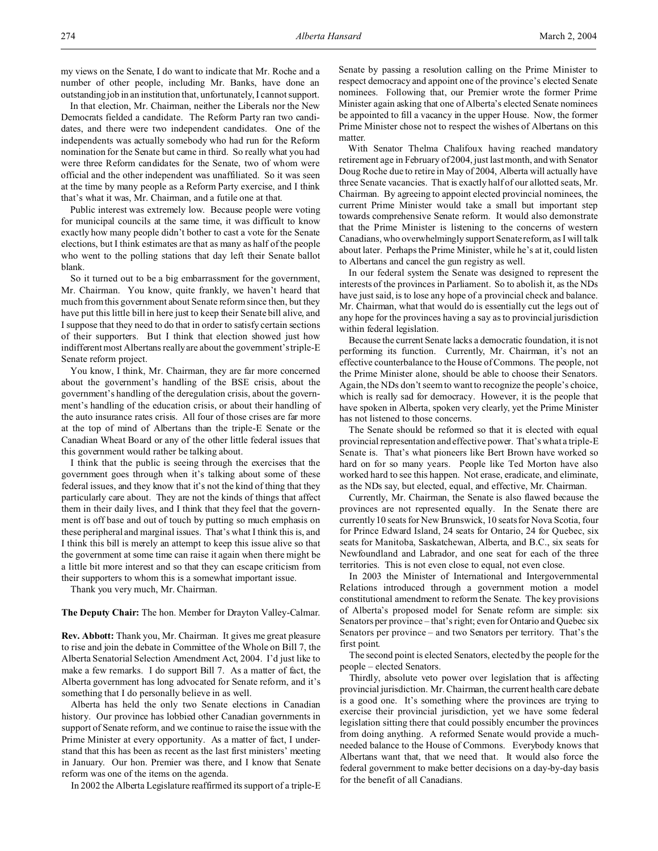In that election, Mr. Chairman, neither the Liberals nor the New Democrats fielded a candidate. The Reform Party ran two candidates, and there were two independent candidates. One of the independents was actually somebody who had run for the Reform nomination for the Senate but came in third. So really what you had were three Reform candidates for the Senate, two of whom were official and the other independent was unaffiliated. So it was seen at the time by many people as a Reform Party exercise, and I think that's what it was, Mr. Chairman, and a futile one at that.

Public interest was extremely low. Because people were voting for municipal councils at the same time, it was difficult to know exactly how many people didn't bother to cast a vote for the Senate elections, but I think estimates are that as many as half of the people who went to the polling stations that day left their Senate ballot blank.

So it turned out to be a big embarrassment for the government, Mr. Chairman. You know, quite frankly, we haven't heard that much from this government about Senate reform since then, but they have put this little bill in here just to keep their Senate bill alive, and I suppose that they need to do that in order to satisfy certain sections of their supporters. But I think that election showed just how indifferent most Albertans really are about the government's triple-E Senate reform project.

You know, I think, Mr. Chairman, they are far more concerned about the government's handling of the BSE crisis, about the government's handling of the deregulation crisis, about the government's handling of the education crisis, or about their handling of the auto insurance rates crisis. All four of those crises are far more at the top of mind of Albertans than the triple-E Senate or the Canadian Wheat Board or any of the other little federal issues that this government would rather be talking about.

I think that the public is seeing through the exercises that the government goes through when it's talking about some of these federal issues, and they know that it's not the kind of thing that they particularly care about. They are not the kinds of things that affect them in their daily lives, and I think that they feel that the government is off base and out of touch by putting so much emphasis on these peripheral and marginal issues. That's what I think this is, and I think this bill is merely an attempt to keep this issue alive so that the government at some time can raise it again when there might be a little bit more interest and so that they can escape criticism from their supporters to whom this is a somewhat important issue.

Thank you very much, Mr. Chairman.

## **The Deputy Chair:** The hon. Member for Drayton Valley-Calmar.

**Rev. Abbott:** Thank you, Mr. Chairman. It gives me great pleasure to rise and join the debate in Committee of the Whole on Bill 7, the Alberta Senatorial Selection Amendment Act, 2004. I'd just like to make a few remarks. I do support Bill 7. As a matter of fact, the Alberta government has long advocated for Senate reform, and it's something that I do personally believe in as well.

Alberta has held the only two Senate elections in Canadian history. Our province has lobbied other Canadian governments in support of Senate reform, and we continue to raise the issue with the Prime Minister at every opportunity. As a matter of fact, I understand that this has been as recent as the last first ministers' meeting in January. Our hon. Premier was there, and I know that Senate reform was one of the items on the agenda.

In 2002 the Alberta Legislature reaffirmed its support of a triple-E

Senate by passing a resolution calling on the Prime Minister to respect democracy and appoint one of the province's elected Senate nominees. Following that, our Premier wrote the former Prime Minister again asking that one of Alberta's elected Senate nominees be appointed to fill a vacancy in the upper House. Now, the former Prime Minister chose not to respect the wishes of Albertans on this matter.

With Senator Thelma Chalifoux having reached mandatory retirement age in February of 2004, just last month, and with Senator Doug Roche due to retire in May of 2004, Alberta will actually have three Senate vacancies. That is exactly half of our allotted seats, Mr. Chairman. By agreeing to appoint elected provincial nominees, the current Prime Minister would take a small but important step towards comprehensive Senate reform. It would also demonstrate that the Prime Minister is listening to the concerns of western Canadians, who overwhelmingly support Senate reform, as I will talk about later. Perhaps the Prime Minister, while he's at it, could listen to Albertans and cancel the gun registry as well.

In our federal system the Senate was designed to represent the interests of the provinces in Parliament. So to abolish it, as the NDs have just said, is to lose any hope of a provincial check and balance. Mr. Chairman, what that would do is essentially cut the legs out of any hope for the provinces having a say as to provincial jurisdiction within federal legislation.

Because the current Senate lacks a democratic foundation, it is not performing its function. Currently, Mr. Chairman, it's not an effective counterbalance to the House of Commons. The people, not the Prime Minister alone, should be able to choose their Senators. Again, the NDs don't seem to want to recognize the people's choice, which is really sad for democracy. However, it is the people that have spoken in Alberta, spoken very clearly, yet the Prime Minister has not listened to those concerns.

The Senate should be reformed so that it is elected with equal provincial representation and effective power. That's what a triple-E Senate is. That's what pioneers like Bert Brown have worked so hard on for so many years. People like Ted Morton have also worked hard to see this happen. Not erase, eradicate, and eliminate, as the NDs say, but elected, equal, and effective, Mr. Chairman.

Currently, Mr. Chairman, the Senate is also flawed because the provinces are not represented equally. In the Senate there are currently 10 seats for New Brunswick, 10 seats for Nova Scotia, four for Prince Edward Island, 24 seats for Ontario, 24 for Quebec, six seats for Manitoba, Saskatchewan, Alberta, and B.C., six seats for Newfoundland and Labrador, and one seat for each of the three territories. This is not even close to equal, not even close.

In 2003 the Minister of International and Intergovernmental Relations introduced through a government motion a model constitutional amendment to reform the Senate. The key provisions of Alberta's proposed model for Senate reform are simple: six Senators per province – that's right; even for Ontario and Quebec six Senators per province – and two Senators per territory. That's the first point.

The second point is elected Senators, elected by the people for the people – elected Senators.

Thirdly, absolute veto power over legislation that is affecting provincial jurisdiction. Mr. Chairman, the current health care debate is a good one. It's something where the provinces are trying to exercise their provincial jurisdiction, yet we have some federal legislation sitting there that could possibly encumber the provinces from doing anything. A reformed Senate would provide a muchneeded balance to the House of Commons. Everybody knows that Albertans want that, that we need that. It would also force the federal government to make better decisions on a day-by-day basis for the benefit of all Canadians.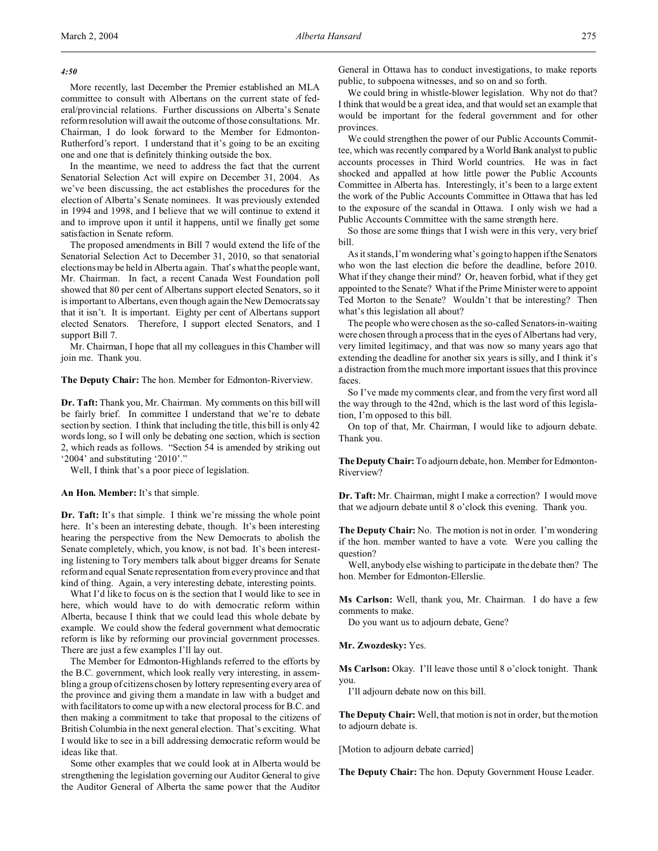*4:50*

More recently, last December the Premier established an MLA committee to consult with Albertans on the current state of federal/provincial relations. Further discussions on Alberta's Senate reform resolution will await the outcome of those consultations. Mr. Chairman, I do look forward to the Member for Edmonton-Rutherford's report. I understand that it's going to be an exciting one and one that is definitely thinking outside the box.

In the meantime, we need to address the fact that the current Senatorial Selection Act will expire on December 31, 2004. As we've been discussing, the act establishes the procedures for the election of Alberta's Senate nominees. It was previously extended in 1994 and 1998, and I believe that we will continue to extend it and to improve upon it until it happens, until we finally get some satisfaction in Senate reform.

The proposed amendments in Bill 7 would extend the life of the Senatorial Selection Act to December 31, 2010, so that senatorial elections may be held in Alberta again. That's what the people want, Mr. Chairman. In fact, a recent Canada West Foundation poll showed that 80 per cent of Albertans support elected Senators, so it is important to Albertans, even though again the New Democrats say that it isn't. It is important. Eighty per cent of Albertans support elected Senators. Therefore, I support elected Senators, and I support Bill 7.

Mr. Chairman, I hope that all my colleagues in this Chamber will join me. Thank you.

**The Deputy Chair:** The hon. Member for Edmonton-Riverview.

**Dr. Taft:** Thank you, Mr. Chairman. My comments on this bill will be fairly brief. In committee I understand that we're to debate section by section. I think that including the title, this bill is only 42 words long, so I will only be debating one section, which is section 2, which reads as follows. "Section 54 is amended by striking out '2004' and substituting '2010'."

Well, I think that's a poor piece of legislation.

#### **An Hon. Member:** It's that simple.

**Dr. Taft:** It's that simple. I think we're missing the whole point here. It's been an interesting debate, though. It's been interesting hearing the perspective from the New Democrats to abolish the Senate completely, which, you know, is not bad. It's been interesting listening to Tory members talk about bigger dreams for Senate reform and equal Senate representation from every province and that kind of thing. Again, a very interesting debate, interesting points.

What I'd like to focus on is the section that I would like to see in here, which would have to do with democratic reform within Alberta, because I think that we could lead this whole debate by example. We could show the federal government what democratic reform is like by reforming our provincial government processes. There are just a few examples I'll lay out.

The Member for Edmonton-Highlands referred to the efforts by the B.C. government, which look really very interesting, in assembling a group of citizens chosen by lottery representing every area of the province and giving them a mandate in law with a budget and with facilitators to come up with a new electoral process for B.C. and then making a commitment to take that proposal to the citizens of British Columbia in the next general election. That's exciting. What I would like to see in a bill addressing democratic reform would be ideas like that.

Some other examples that we could look at in Alberta would be strengthening the legislation governing our Auditor General to give the Auditor General of Alberta the same power that the Auditor

General in Ottawa has to conduct investigations, to make reports public, to subpoena witnesses, and so on and so forth.

We could bring in whistle-blower legislation. Why not do that? I think that would be a great idea, and that would set an example that would be important for the federal government and for other provinces.

We could strengthen the power of our Public Accounts Committee, which was recently compared by a World Bank analyst to public accounts processes in Third World countries. He was in fact shocked and appalled at how little power the Public Accounts Committee in Alberta has. Interestingly, it's been to a large extent the work of the Public Accounts Committee in Ottawa that has led to the exposure of the scandal in Ottawa. I only wish we had a Public Accounts Committee with the same strength here.

So those are some things that I wish were in this very, very brief bill.

As it stands, I'm wondering what's going to happen if the Senators who won the last election die before the deadline, before 2010. What if they change their mind? Or, heaven forbid, what if they get appointed to the Senate? What if the Prime Minister were to appoint Ted Morton to the Senate? Wouldn't that be interesting? Then what's this legislation all about?

The people who were chosen as the so-called Senators-in-waiting were chosen through a process that in the eyes of Albertans had very, very limited legitimacy, and that was now so many years ago that extending the deadline for another six years is silly, and I think it's a distraction from the much more important issues that this province faces.

So I've made my comments clear, and from the very first word all the way through to the 42nd, which is the last word of this legislation, I'm opposed to this bill.

On top of that, Mr. Chairman, I would like to adjourn debate. Thank you.

**The Deputy Chair:** To adjourn debate, hon. Member for Edmonton-Riverview?

**Dr. Taft:** Mr. Chairman, might I make a correction? I would move that we adjourn debate until 8 o'clock this evening. Thank you.

**The Deputy Chair:** No. The motion is not in order. I'm wondering if the hon. member wanted to have a vote. Were you calling the question?

Well, anybody else wishing to participate in the debate then? The hon. Member for Edmonton-Ellerslie.

**Ms Carlson:** Well, thank you, Mr. Chairman. I do have a few comments to make.

Do you want us to adjourn debate, Gene?

## **Mr. Zwozdesky:** Yes.

Ms Carlson: Okay. I'll leave those until 8 o'clock tonight. Thank you.

I'll adjourn debate now on this bill.

**The Deputy Chair:** Well, that motion is not in order, but the motion to adjourn debate is.

[Motion to adjourn debate carried]

**The Deputy Chair:** The hon. Deputy Government House Leader.